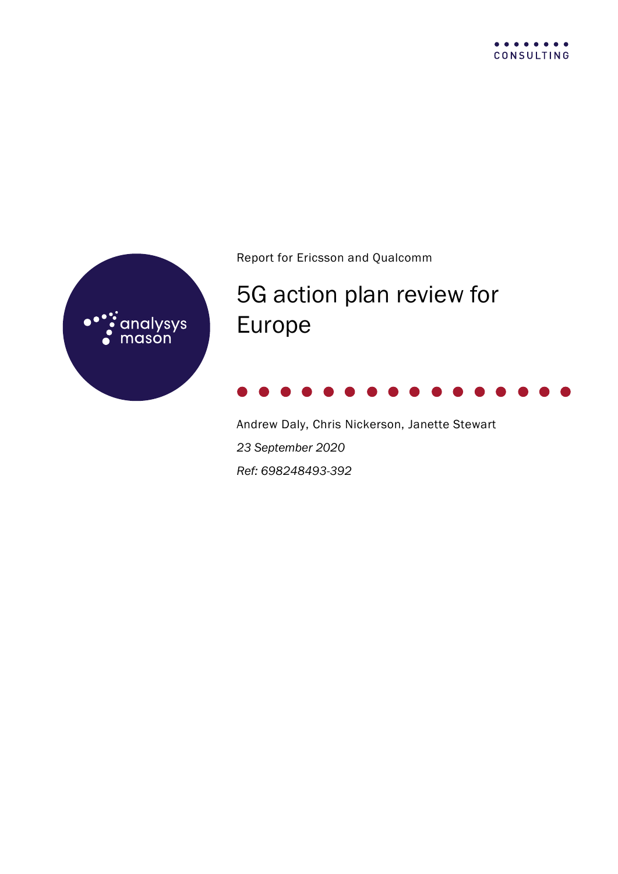



Report for Ericsson and Qualcomm

# 5G action plan review for Europe



Andrew Daly, Chris Nickerson, Janette Stewart *23 September 2020 Ref: 698248493-392*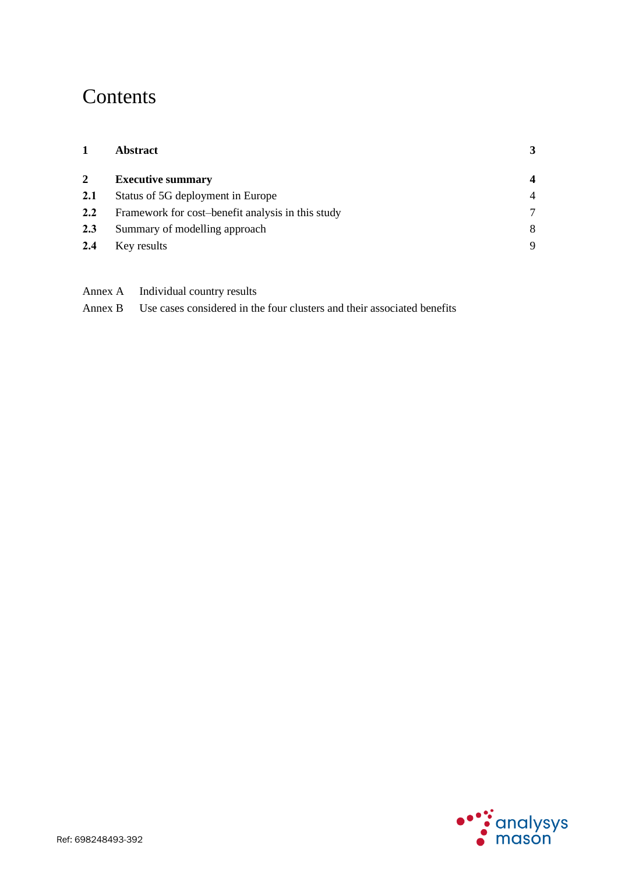## **Contents**

| <b>Abstract</b> | 3                                                                                                                                                                  |
|-----------------|--------------------------------------------------------------------------------------------------------------------------------------------------------------------|
|                 | $\overline{\mathbf{4}}$                                                                                                                                            |
|                 | $\overline{4}$                                                                                                                                                     |
|                 | 7                                                                                                                                                                  |
|                 | 8                                                                                                                                                                  |
|                 | 9                                                                                                                                                                  |
|                 | <b>Executive summary</b><br>Status of 5G deployment in Europe<br>Framework for cost-benefit analysis in this study<br>Summary of modelling approach<br>Key results |

Annex A Individual country results

Annex B Use cases considered in the four clusters and their associated benefits

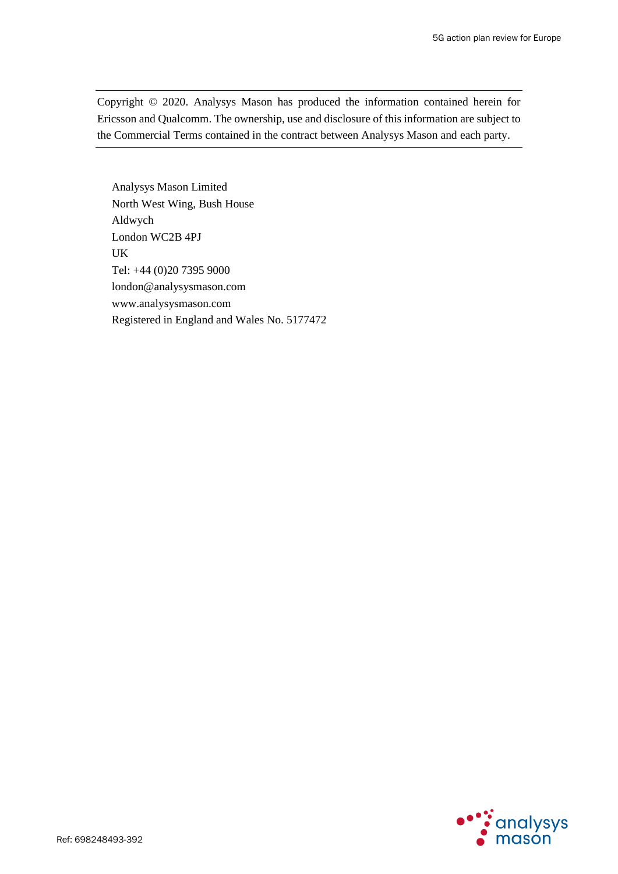Copyright © 2020. Analysys Mason has produced the information contained herein for Ericsson and Qualcomm. The ownership, use and disclosure of this information are subject to the Commercial Terms contained in the contract between Analysys Mason and each party.

Analysys Mason Limited North West Wing, Bush House Aldwych London WC2B 4PJ UK Tel: +44 (0)20 7395 9000 london@analysysmason.com www.analysysmason.com Registered in England and Wales No. 5177472

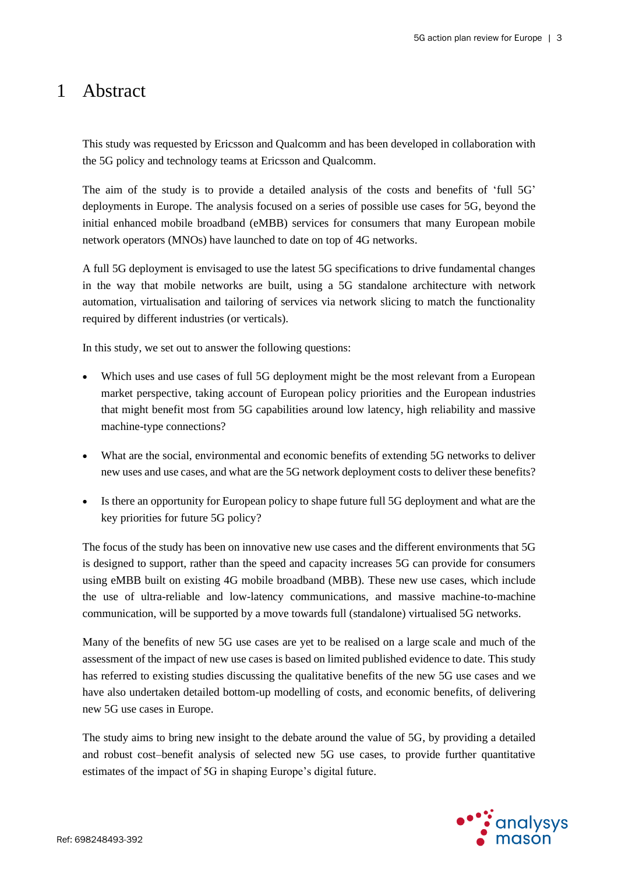### 1 Abstract

This study was requested by Ericsson and Qualcomm and has been developed in collaboration with the 5G policy and technology teams at Ericsson and Qualcomm.

The aim of the study is to provide a detailed analysis of the costs and benefits of 'full 5G' deployments in Europe. The analysis focused on a series of possible use cases for 5G, beyond the initial enhanced mobile broadband (eMBB) services for consumers that many European mobile network operators (MNOs) have launched to date on top of 4G networks.

A full 5G deployment is envisaged to use the latest 5G specifications to drive fundamental changes in the way that mobile networks are built, using a 5G standalone architecture with network automation, virtualisation and tailoring of services via network slicing to match the functionality required by different industries (or verticals).

In this study, we set out to answer the following questions:

- Which uses and use cases of full 5G deployment might be the most relevant from a European market perspective, taking account of European policy priorities and the European industries that might benefit most from 5G capabilities around low latency, high reliability and massive machine-type connections?
- What are the social, environmental and economic benefits of extending 5G networks to deliver new uses and use cases, and what are the 5G network deployment costs to deliver these benefits?
- Is there an opportunity for European policy to shape future full 5G deployment and what are the key priorities for future 5G policy?

The focus of the study has been on innovative new use cases and the different environments that 5G is designed to support, rather than the speed and capacity increases 5G can provide for consumers using eMBB built on existing 4G mobile broadband (MBB). These new use cases, which include the use of ultra-reliable and low-latency communications, and massive machine-to-machine communication, will be supported by a move towards full (standalone) virtualised 5G networks.

Many of the benefits of new 5G use cases are yet to be realised on a large scale and much of the assessment of the impact of new use cases is based on limited published evidence to date. This study has referred to existing studies discussing the qualitative benefits of the new 5G use cases and we have also undertaken detailed bottom-up modelling of costs, and economic benefits, of delivering new 5G use cases in Europe.

The study aims to bring new insight to the debate around the value of 5G, by providing a detailed and robust cost–benefit analysis of selected new 5G use cases, to provide further quantitative estimates of the impact of 5G in shaping Europe's digital future.

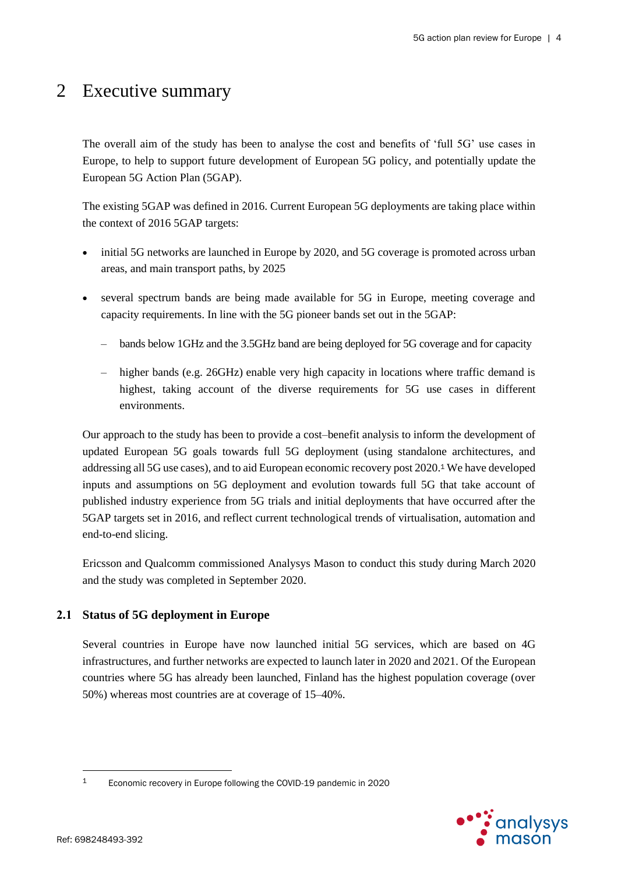### 2 Executive summary

The overall aim of the study has been to analyse the cost and benefits of 'full 5G' use cases in Europe, to help to support future development of European 5G policy, and potentially update the European 5G Action Plan (5GAP).

The existing 5GAP was defined in 2016. Current European 5G deployments are taking place within the context of 2016 5GAP targets:

- initial 5G networks are launched in Europe by 2020, and 5G coverage is promoted across urban areas, and main transport paths, by 2025
- several spectrum bands are being made available for 5G in Europe, meeting coverage and capacity requirements. In line with the 5G pioneer bands set out in the 5GAP:
	- bands below 1GHz and the 3.5GHz band are being deployed for 5G coverage and for capacity
	- higher bands (e.g. 26GHz) enable very high capacity in locations where traffic demand is highest, taking account of the diverse requirements for 5G use cases in different environments.

Our approach to the study has been to provide a cost–benefit analysis to inform the development of updated European 5G goals towards full 5G deployment (using standalone architectures, and addressing all 5G use cases), and to aid European economic recovery post 2020. <sup>1</sup> We have developed inputs and assumptions on 5G deployment and evolution towards full 5G that take account of published industry experience from 5G trials and initial deployments that have occurred after the 5GAP targets set in 2016, and reflect current technological trends of virtualisation, automation and end-to-end slicing.

Ericsson and Qualcomm commissioned Analysys Mason to conduct this study during March 2020 and the study was completed in September 2020.

### **2.1 Status of 5G deployment in Europe**

Several countries in Europe have now launched initial 5G services, which are based on 4G infrastructures, and further networks are expected to launch later in 2020 and 2021. Of the European countries where 5G has already been launched, Finland has the highest population coverage (over 50%) whereas most countries are at coverage of 15–40%.



<sup>1</sup> Economic recovery in Europe following the COVID-19 pandemic in 2020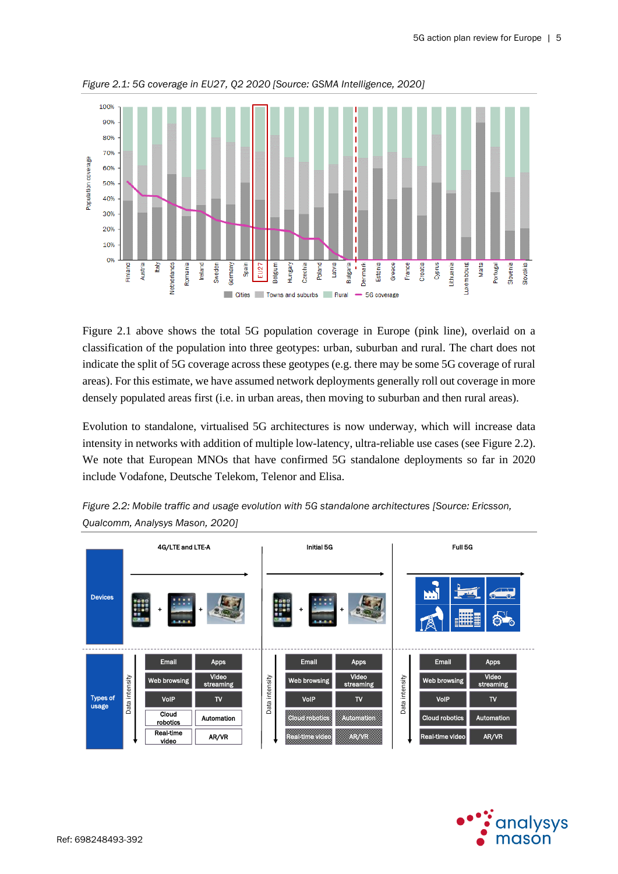

<span id="page-5-0"></span>*Figure 2.1: 5G coverage in EU27, Q2 2020 [Source: GSMA Intelligence, 2020]*

[Figure 2.1](#page-5-0) above shows the total 5G population coverage in Europe (pink line), overlaid on a classification of the population into three geotypes: urban, suburban and rural. The chart does not indicate the split of 5G coverage across these geotypes (e.g. there may be some 5G coverage of rural areas). For this estimate, we have assumed network deployments generally roll out coverage in more densely populated areas first (i.e. in urban areas, then moving to suburban and then rural areas).

Evolution to standalone, virtualised 5G architectures is now underway, which will increase data intensity in networks with addition of multiple low-latency, ultra-reliable use cases (se[e Figure 2.2\)](#page-5-1). We note that European MNOs that have confirmed 5G standalone deployments so far in 2020 include Vodafone, Deutsche Telekom, Telenor and Elisa.



<span id="page-5-1"></span>*Figure 2.2: Mobile traffic and usage evolution with 5G standalone architectures [Source: Ericsson, Qualcomm, Analysys Mason, 2020]*

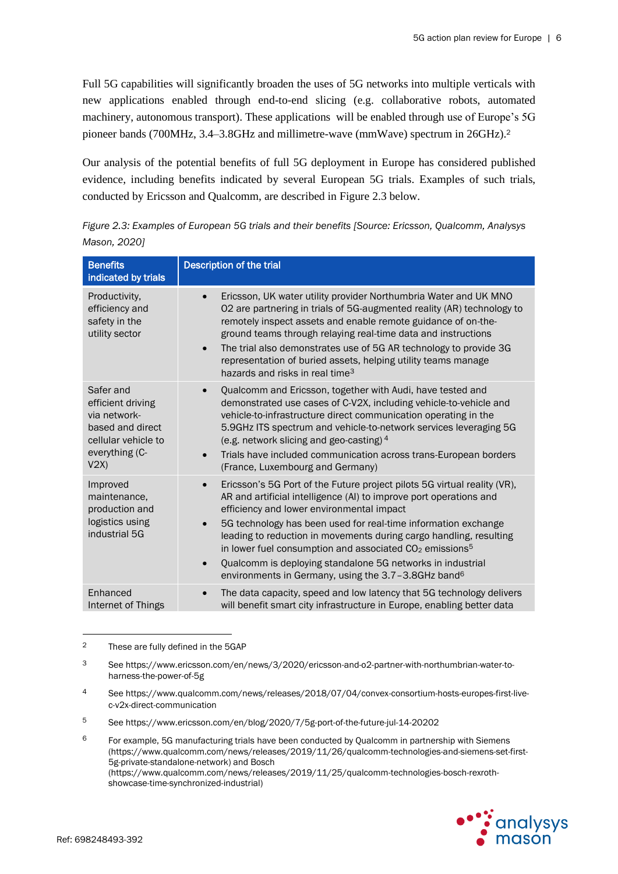Full 5G capabilities will significantly broaden the uses of 5G networks into multiple verticals with new applications enabled through end-to-end slicing (e.g. collaborative robots, automated machinery, autonomous transport). These applications will be enabled through use of Europe's 5G pioneer bands (700MHz, 3.4–3.8GHz and millimetre-wave (mmWave) spectrum in 26GHz).<sup>2</sup>

Our analysis of the potential benefits of full 5G deployment in Europe has considered published evidence, including benefits indicated by several European 5G trials. Examples of such trials, conducted by Ericsson and Qualcomm, are described in [Figure 2.3](#page-6-0) below.

| <b>Benefits</b><br>indicated by trials                                                                              | <b>Description of the trial</b>                                                                                                                                                                                                                                                                                                                                                                                                                                                                                                                                                                |
|---------------------------------------------------------------------------------------------------------------------|------------------------------------------------------------------------------------------------------------------------------------------------------------------------------------------------------------------------------------------------------------------------------------------------------------------------------------------------------------------------------------------------------------------------------------------------------------------------------------------------------------------------------------------------------------------------------------------------|
| Productivity,<br>efficiency and<br>safety in the<br>utility sector                                                  | Ericsson, UK water utility provider Northumbria Water and UK MNO<br>$\bullet$<br>02 are partnering in trials of 5G-augmented reality (AR) technology to<br>remotely inspect assets and enable remote guidance of on-the-<br>ground teams through relaying real-time data and instructions<br>The trial also demonstrates use of 5G AR technology to provide 3G<br>$\bullet$<br>representation of buried assets, helping utility teams manage<br>hazards and risks in real time <sup>3</sup>                                                                                                    |
| Safer and<br>efficient driving<br>via network-<br>based and direct<br>cellular vehicle to<br>everything (C-<br>V2X) | Qualcomm and Ericsson, together with Audi, have tested and<br>$\bullet$<br>demonstrated use cases of C-V2X, including vehicle-to-vehicle and<br>vehicle-to-infrastructure direct communication operating in the<br>5.9GHz ITS spectrum and vehicle-to-network services leveraging 5G<br>(e.g. network slicing and geo-casting) $4$<br>Trials have included communication across trans-European borders<br>$\bullet$<br>(France, Luxembourg and Germany)                                                                                                                                        |
| Improved<br>maintenance,<br>production and<br>logistics using<br>industrial 5G                                      | Ericsson's 5G Port of the Future project pilots 5G virtual reality (VR),<br>$\bullet$<br>AR and artificial intelligence (AI) to improve port operations and<br>efficiency and lower environmental impact<br>5G technology has been used for real-time information exchange<br>$\bullet$<br>leading to reduction in movements during cargo handling, resulting<br>in lower fuel consumption and associated CO <sub>2</sub> emissions <sup>5</sup><br>Qualcomm is deploying standalone 5G networks in industrial<br>$\bullet$<br>environments in Germany, using the 3.7-3.8GHz band <sup>6</sup> |
| Enhanced<br>Internet of Things                                                                                      | The data capacity, speed and low latency that 5G technology delivers<br>$\bullet$<br>will benefit smart city infrastructure in Europe, enabling better data                                                                                                                                                                                                                                                                                                                                                                                                                                    |

<span id="page-6-0"></span>*Figure 2.3: Examples of European 5G trials and their benefits [Source: Ericsson, Qualcomm, Analysys Mason, 2020]* 

<sup>&</sup>lt;sup>6</sup> For example, 5G manufacturing trials have been conducted by Qualcomm in partnership with Siemens (https://www.qualcomm.com/news/releases/2019/11/26/qualcomm-technologies-and-siemens-set-first-5g-private-standalone-network) and Bosch (https://www.qualcomm.com/news/releases/2019/11/25/qualcomm-technologies-bosch-rexrothshowcase-time-synchronized-industrial)



<sup>2</sup> These are fully defined in the 5GAP

<sup>3</sup> See https://www.ericsson.com/en/news/3/2020/ericsson-and-o2-partner-with-northumbrian-water-toharness-the-power-of-5g

<sup>4</sup> See https://www.qualcomm.com/news/releases/2018/07/04/convex-consortium-hosts-europes-first-livec-v2x-direct-communication

<sup>5</sup> See https://www.ericsson.com/en/blog/2020/7/5g-port-of-the-future-jul-14-20202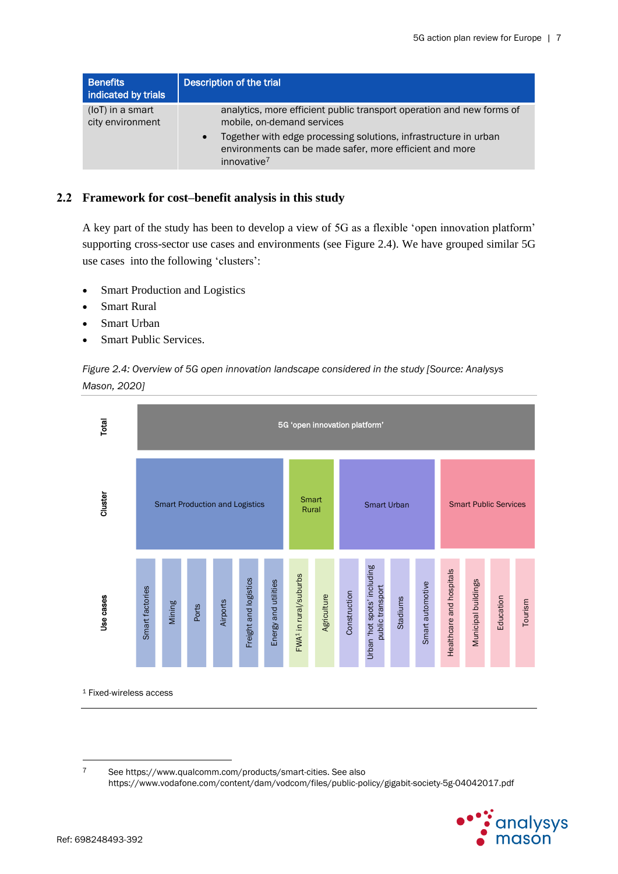| <b>Benefits</b><br>indicated by trials | <b>Description of the trial</b>                                                                                                               |
|----------------------------------------|-----------------------------------------------------------------------------------------------------------------------------------------------|
| (loT) in a smart<br>city environment   | analytics, more efficient public transport operation and new forms of<br>mobile, on-demand services                                           |
|                                        | Together with edge processing solutions, infrastructure in urban<br>environments can be made safer, more efficient and more<br>innovative $7$ |

### **2.2 Framework for cost–benefit analysis in this study**

A key part of the study has been to develop a view of 5G as a flexible 'open innovation platform' supporting cross-sector use cases and environments (see [Figure 2.4\)](#page-7-0). We have grouped similar 5G use cases into the following 'clusters':

- Smart Production and Logistics
- **Smart Rural**
- Smart Urban
- Smart Public Services.

<span id="page-7-0"></span>*Figure 2.4: Overview of 5G open innovation landscape considered in the study [Source: Analysys Mason, 2020]*



<sup>7</sup> See [https://www.qualcomm.com/products/smart-cities.](https://www.qualcomm.com/products/smart-cities) See also https://www.vodafone.com/content/dam/vodcom/files/public-policy/gigabit-society-5g-04042017.pdf

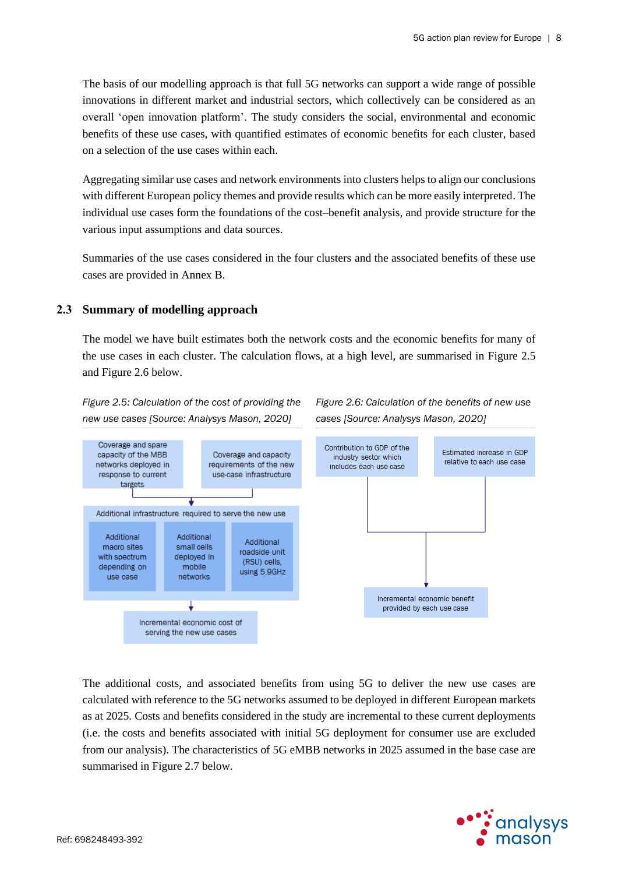The basis of our modelling approach is that full 5G networks can support a wide range of possible innovations in different market and industrial sectors, which collectively can be considered as an overall 'open innovation platform'. The study considers the social, environmental and economic benefits of these use cases, with quantified estimates of economic benefits for each cluster, based on a selection of the use cases within each.

Aggregating similar use cases and network environments into clusters helps to align our conclusions with different European policy themes and provide results which can be more easily interpreted. The individual use cases form the foundations of the cost–benefit analysis, and provide structure for the various input assumptions and data sources.

Summaries of the use cases considered in the four clusters and the associated benefits of these use cases are provided in Annex B.

### **2.3 Summary of modelling approach**

The model we have built estimates both the network costs and the economic benefits for many of the use cases in each cluster. The calculation flows, at a high level, are summarised in [Figure 2.5](#page-8-0) and [Figure 2.6](#page-8-1) below.

<span id="page-8-0"></span>*Figure 2.5: Calculation of the cost of providing the new use cases [Source: Analysys Mason, 2020]*

<span id="page-8-1"></span>*Figure 2.6: Calculation of the benefits of new use cases [Source: Analysys Mason, 2020]*



The additional costs, and associated benefits from using 5G to deliver the new use cases are calculated with reference to the 5G networks assumed to be deployed in different European markets as at 2025. Costs and benefits considered in the study are incremental to these current deployments (i.e. the costs and benefits associated with initial 5G deployment for consumer use are excluded from our analysis). The characteristics of 5G eMBB networks in 2025 assumed in the base case are summarised i[n Figure 2.7](#page-9-0) below.

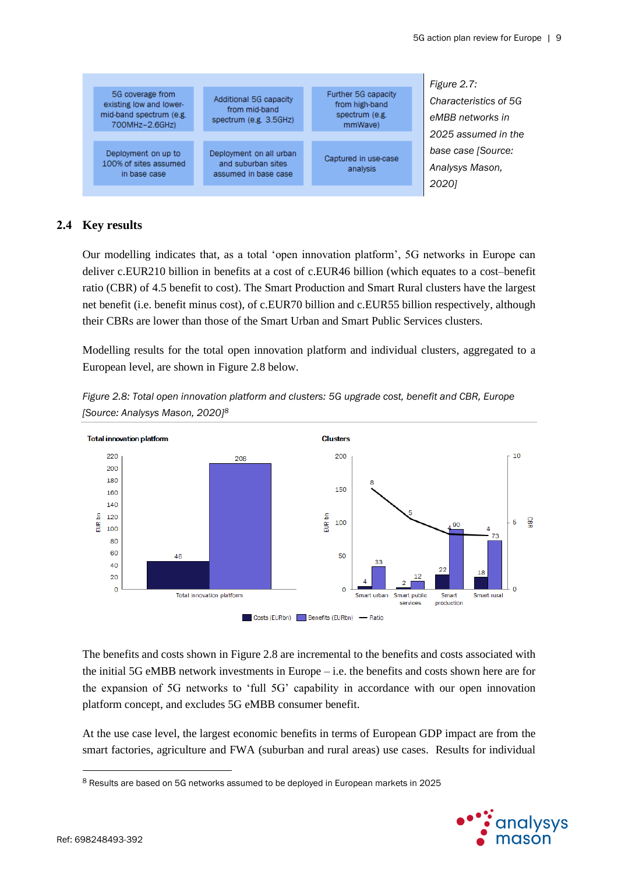<span id="page-9-0"></span>

### **2.4 Key results**

Our modelling indicates that, as a total 'open innovation platform', 5G networks in Europe can deliver c.EUR210 billion in benefits at a cost of c.EUR46 billion (which equates to a cost–benefit ratio (CBR) of 4.5 benefit to cost). The Smart Production and Smart Rural clusters have the largest net benefit (i.e. benefit minus cost), of c.EUR70 billion and c.EUR55 billion respectively, although their CBRs are lower than those of the Smart Urban and Smart Public Services clusters.

Modelling results for the total open innovation platform and individual clusters, aggregated to a European level, are shown in [Figure 2.8](#page-9-1) below.



<span id="page-9-1"></span>*Figure 2.8: Total open innovation platform and clusters: 5G upgrade cost, benefit and CBR, Europe [Source: Analysys Mason, 2020]<sup>8</sup>*

Costs (EURbn) Benefits (EURbn) - Ratio

The benefits and costs shown in [Figure 2.8](#page-9-1) are incremental to the benefits and costs associated with the initial 5G eMBB network investments in Europe – i.e. the benefits and costs shown here are for the expansion of 5G networks to 'full 5G' capability in accordance with our open innovation platform concept, and excludes 5G eMBB consumer benefit.

At the use case level, the largest economic benefits in terms of European GDP impact are from the smart factories, agriculture and FWA (suburban and rural areas) use cases. Results for individual

<sup>8</sup> Results are based on 5G networks assumed to be deployed in European markets in 2025

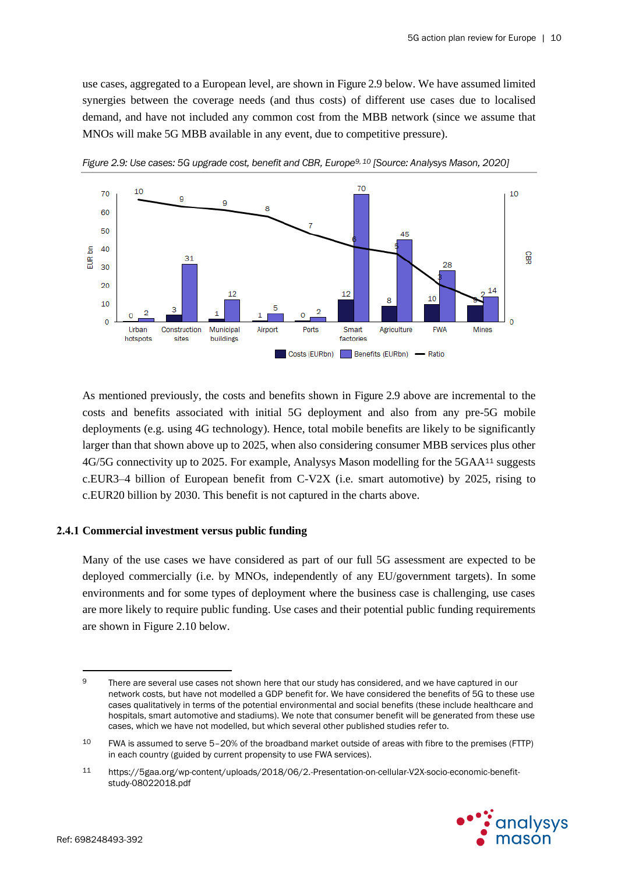use cases, aggregated to a European level, are shown in [Figure 2.9](#page-10-0) below. We have assumed limited synergies between the coverage needs (and thus costs) of different use cases due to localised demand, and have not included any common cost from the MBB network (since we assume that MNOs will make 5G MBB available in any event, due to competitive pressure).



<span id="page-10-0"></span>*Figure 2.9: Use cases: 5G upgrade cost, benefit and CBR, Europe<sup>9</sup>, <sup>10</sup> [Source: Analysys Mason, 2020]*

As mentioned previously, the costs and benefits shown in [Figure 2.9](#page-10-0) above are incremental to the costs and benefits associated with initial 5G deployment and also from any pre-5G mobile deployments (e.g. using 4G technology). Hence, total mobile benefits are likely to be significantly larger than that shown above up to 2025, when also considering consumer MBB services plus other 4G/5G connectivity up to 2025. For example, Analysys Mason modelling for the 5GAA<sup>11</sup> suggests c.EUR3–4 billion of European benefit from C-V2X (i.e. smart automotive) by 2025, rising to c.EUR20 billion by 2030. This benefit is not captured in the charts above.

#### **2.4.1 Commercial investment versus public funding**

Many of the use cases we have considered as part of our full 5G assessment are expected to be deployed commercially (i.e. by MNOs, independently of any EU/government targets). In some environments and for some types of deployment where the business case is challenging, use cases are more likely to require public funding. Use cases and their potential public funding requirements are shown in [Figure 2.10](#page-11-0) below.

<sup>11</sup> https://5gaa.org/wp-content/uploads/2018/06/2.-Presentation-on-cellular-V2X-socio-economic-benefitstudy-08022018.pdf



<sup>9</sup> There are several use cases not shown here that our study has considered, and we have captured in our network costs, but have not modelled a GDP benefit for. We have considered the benefits of 5G to these use cases qualitatively in terms of the potential environmental and social benefits (these include healthcare and hospitals, smart automotive and stadiums). We note that consumer benefit will be generated from these use cases, which we have not modelled, but which several other published studies refer to.

<sup>10</sup> FWA is assumed to serve 5–20% of the broadband market outside of areas with fibre to the premises (FTTP) in each country (guided by current propensity to use FWA services).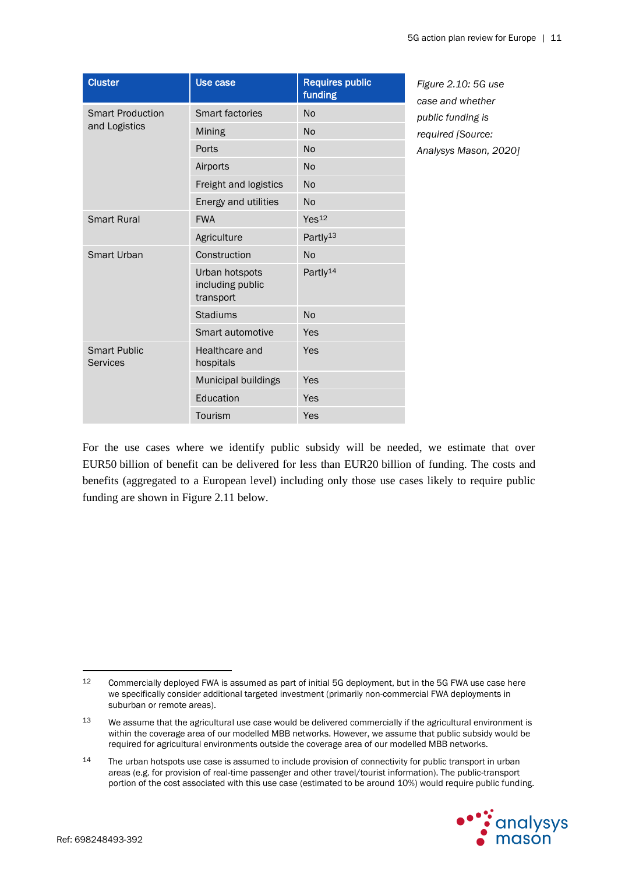<span id="page-11-0"></span>

| <b>Cluster</b>                         | <b>Use case</b>                                 | <b>Requires public</b><br>funding | Figure 2.10: 5G use<br>case and whether |
|----------------------------------------|-------------------------------------------------|-----------------------------------|-----------------------------------------|
| <b>Smart Production</b>                | <b>Smart factories</b>                          | <b>No</b>                         | public funding is                       |
| and Logistics                          | Mining                                          | <b>No</b>                         | required [Source:                       |
|                                        | Ports                                           | <b>No</b>                         | Analysys Mason, 2020]                   |
|                                        | Airports                                        | <b>No</b>                         |                                         |
|                                        | Freight and logistics                           | <b>No</b>                         |                                         |
|                                        | Energy and utilities                            | <b>No</b>                         |                                         |
| <b>Smart Rural</b>                     | <b>FWA</b>                                      | Yes <sup>12</sup>                 |                                         |
|                                        | Agriculture                                     | Partly <sup>13</sup>              |                                         |
| Smart Urban                            | Construction                                    | <b>No</b>                         |                                         |
|                                        | Urban hotspots<br>including public<br>transport | Partly <sup>14</sup>              |                                         |
|                                        | <b>Stadiums</b>                                 | <b>No</b>                         |                                         |
|                                        | Smart automotive                                | Yes                               |                                         |
| <b>Smart Public</b><br><b>Services</b> | Healthcare and<br>hospitals                     | Yes                               |                                         |
|                                        | Municipal buildings                             | Yes                               |                                         |
|                                        | Education                                       | Yes                               |                                         |
|                                        | Tourism                                         | Yes                               |                                         |

For the use cases where we identify public subsidy will be needed, we estimate that over EUR50 billion of benefit can be delivered for less than EUR20 billion of funding. The costs and benefits (aggregated to a European level) including only those use cases likely to require public funding are shown in [Figure 2.11](#page-12-0) below.

<sup>14</sup> The urban hotspots use case is assumed to include provision of connectivity for public transport in urban areas (e.g. for provision of real-time passenger and other travel/tourist information). The public-transport portion of the cost associated with this use case (estimated to be around 10%) would require public funding.



<sup>12</sup> Commercially deployed FWA is assumed as part of initial 5G deployment, but in the 5G FWA use case here we specifically consider additional targeted investment (primarily non-commercial FWA deployments in suburban or remote areas).

<sup>&</sup>lt;sup>13</sup> We assume that the agricultural use case would be delivered commercially if the agricultural environment is within the coverage area of our modelled MBB networks. However, we assume that public subsidy would be required for agricultural environments outside the coverage area of our modelled MBB networks.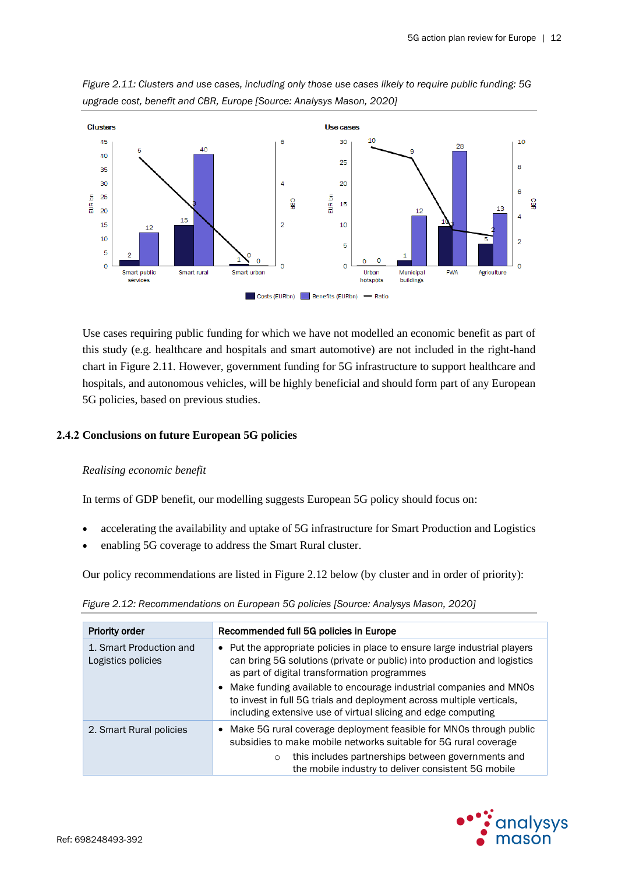

<span id="page-12-0"></span>*Figure 2.11: Clusters and use cases, including only those use cases likely to require public funding: 5G upgrade cost, benefit and CBR, Europe [Source: Analysys Mason, 2020]*

Use cases requiring public funding for which we have not modelled an economic benefit as part of this study (e.g. healthcare and hospitals and smart automotive) are not included in the right-hand chart in [Figure 2.11.](#page-12-0) However, government funding for 5G infrastructure to support healthcare and hospitals, and autonomous vehicles, will be highly beneficial and should form part of any European 5G policies, based on previous studies.

### **2.4.2 Conclusions on future European 5G policies**

### *Realising economic benefit*

In terms of GDP benefit, our modelling suggests European 5G policy should focus on:

- accelerating the availability and uptake of 5G infrastructure for Smart Production and Logistics
- enabling 5G coverage to address the Smart Rural cluster.

Our policy recommendations are listed in [Figure 2.12](#page-12-1) below (by cluster and in order of priority):

| <b>Priority order</b>                         | Recommended full 5G policies in Europe                                                                                                                                                                                                                                                                                                                                                                                  |  |
|-----------------------------------------------|-------------------------------------------------------------------------------------------------------------------------------------------------------------------------------------------------------------------------------------------------------------------------------------------------------------------------------------------------------------------------------------------------------------------------|--|
| 1. Smart Production and<br>Logistics policies | • Put the appropriate policies in place to ensure large industrial players<br>can bring 5G solutions (private or public) into production and logistics<br>as part of digital transformation programmes<br>• Make funding available to encourage industrial companies and MNOs<br>to invest in full 5G trials and deployment across multiple verticals,<br>including extensive use of virtual slicing and edge computing |  |
| 2. Smart Rural policies                       | • Make 5G rural coverage deployment feasible for MNOs through public<br>subsidies to make mobile networks suitable for 5G rural coverage<br>this includes partnerships between governments and<br>$\circ$<br>the mobile industry to deliver consistent 5G mobile                                                                                                                                                        |  |

<span id="page-12-1"></span>*Figure 2.12: Recommendations on European 5G policies [Source: Analysys Mason, 2020]*

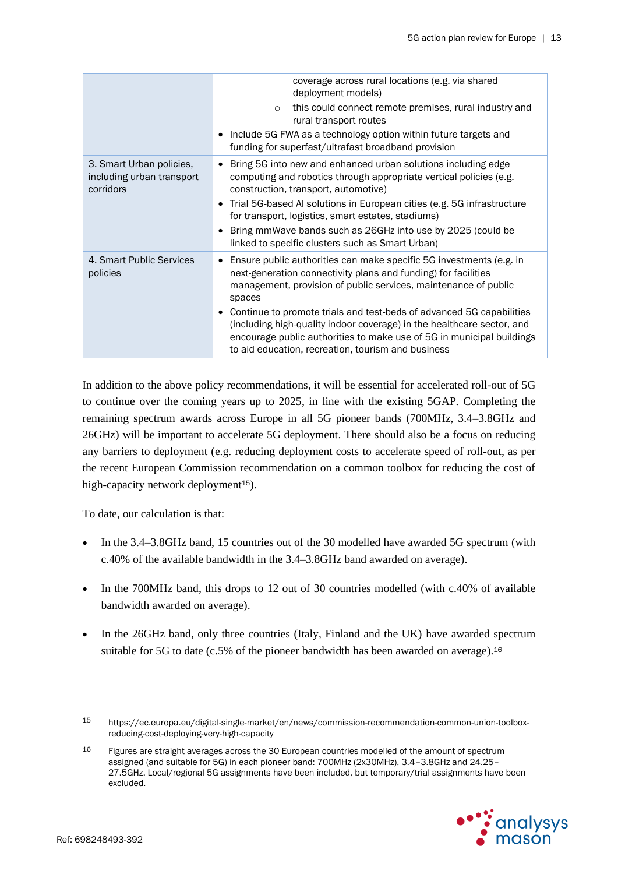|                                                                    | coverage across rural locations (e.g. via shared<br>deployment models)                                                                                                                                                                                                                                        |
|--------------------------------------------------------------------|---------------------------------------------------------------------------------------------------------------------------------------------------------------------------------------------------------------------------------------------------------------------------------------------------------------|
|                                                                    | this could connect remote premises, rural industry and<br>$\circ$<br>rural transport routes                                                                                                                                                                                                                   |
|                                                                    | • Include 5G FWA as a technology option within future targets and<br>funding for superfast/ultrafast broadband provision                                                                                                                                                                                      |
| 3. Smart Urban policies,<br>including urban transport<br>corridors | Bring 5G into new and enhanced urban solutions including edge<br>computing and robotics through appropriate vertical policies (e.g.<br>construction, transport, automotive)<br>• Trial 5G-based AI solutions in European cities (e.g. 5G infrastructure<br>for transport, logistics, smart estates, stadiums) |
|                                                                    | Bring mmWave bands such as 26GHz into use by 2025 (could be<br>linked to specific clusters such as Smart Urban)                                                                                                                                                                                               |
| 4. Smart Public Services<br>policies                               | Ensure public authorities can make specific 5G investments (e.g. in<br>next-generation connectivity plans and funding) for facilities<br>management, provision of public services, maintenance of public<br>spaces                                                                                            |
|                                                                    | • Continue to promote trials and test-beds of advanced 5G capabilities<br>(including high-quality indoor coverage) in the healthcare sector, and<br>encourage public authorities to make use of 5G in municipal buildings<br>to aid education, recreation, tourism and business                               |

In addition to the above policy recommendations, it will be essential for accelerated roll-out of 5G to continue over the coming years up to 2025, in line with the existing 5GAP. Completing the remaining spectrum awards across Europe in all 5G pioneer bands (700MHz, 3.4–3.8GHz and 26GHz) will be important to accelerate 5G deployment. There should also be a focus on reducing any barriers to deployment (e.g. reducing deployment costs to accelerate speed of roll-out, as per the recent European Commission recommendation on a common toolbox for reducing the cost of high-capacity network deployment<sup>15</sup>).

To date, our calculation is that:

- In the 3.4–3.8GHz band, 15 countries out of the 30 modelled have awarded 5G spectrum (with c.40% of the available bandwidth in the 3.4–3.8GHz band awarded on average).
- In the 700MHz band, this drops to 12 out of 30 countries modelled (with c.40% of available bandwidth awarded on average).
- In the 26GHz band, only three countries (Italy, Finland and the UK) have awarded spectrum suitable for 5G to date (c.5% of the pioneer bandwidth has been awarded on average).<sup>16</sup>

<sup>&</sup>lt;sup>16</sup> Figures are straight averages across the 30 European countries modelled of the amount of spectrum assigned (and suitable for 5G) in each pioneer band: 700MHz (2x30MHz), 3.4–3.8GHz and 24.25– 27.5GHz. Local/regional 5G assignments have been included, but temporary/trial assignments have been excluded.



<sup>15</sup> https://ec.europa.eu/digital-single-market/en/news/commission-recommendation-common-union-toolboxreducing-cost-deploying-very-high-capacity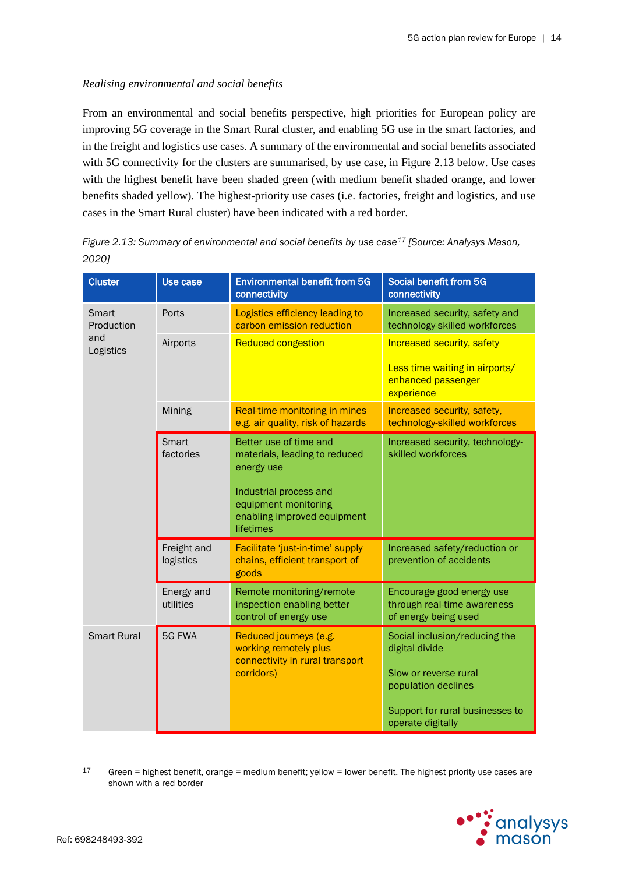### *Realising environmental and social benefits*

From an environmental and social benefits perspective, high priorities for European policy are improving 5G coverage in the Smart Rural cluster, and enabling 5G use in the smart factories, and in the freight and logistics use cases. A summary of the environmental and social benefits associated with 5G connectivity for the clusters are summarised, by use case, in [Figure 2.13](#page-14-0) below. Use cases with the highest benefit have been shaded green (with medium benefit shaded orange, and lower benefits shaded yellow). The highest-priority use cases (i.e. factories, freight and logistics, and use cases in the Smart Rural cluster) have been indicated with a red border.

<span id="page-14-0"></span>*Figure 2.13: Summary of environmental and social benefits by use case<sup>17</sup> [Source: Analysys Mason, 2020]*

| <b>Cluster</b>      | Use case                 | <b>Environmental benefit from 5G</b><br>connectivity                                                                                                                | Social benefit from 5G<br>connectivity                                                                                                                  |
|---------------------|--------------------------|---------------------------------------------------------------------------------------------------------------------------------------------------------------------|---------------------------------------------------------------------------------------------------------------------------------------------------------|
| Smart<br>Production | Ports                    | Logistics efficiency leading to<br>carbon emission reduction                                                                                                        | Increased security, safety and<br>technology-skilled workforces                                                                                         |
| and<br>Logistics    | Airports                 | <b>Reduced congestion</b>                                                                                                                                           | <b>Increased security, safety</b><br>Less time waiting in airports/<br>enhanced passenger<br>experience                                                 |
|                     | Mining                   | Real-time monitoring in mines<br>e.g. air quality, risk of hazards                                                                                                  | Increased security, safety,<br>technology-skilled workforces                                                                                            |
|                     | Smart<br>factories       | Better use of time and<br>materials, leading to reduced<br>energy use<br>Industrial process and<br>equipment monitoring<br>enabling improved equipment<br>lifetimes | Increased security, technology-<br>skilled workforces                                                                                                   |
|                     | Freight and<br>logistics | Facilitate 'just-in-time' supply<br>chains, efficient transport of<br>goods                                                                                         | Increased safety/reduction or<br>prevention of accidents                                                                                                |
|                     | Energy and<br>utilities  | Remote monitoring/remote<br>inspection enabling better<br>control of energy use                                                                                     | Encourage good energy use<br>through real-time awareness<br>of energy being used                                                                        |
| <b>Smart Rural</b>  | 5G FWA                   | Reduced journeys (e.g.<br>working remotely plus<br>connectivity in rural transport<br>corridors)                                                                    | Social inclusion/reducing the<br>digital divide<br>Slow or reverse rural<br>population declines<br>Support for rural businesses to<br>operate digitally |

<sup>17</sup> Green = highest benefit, orange = medium benefit; yellow = lower benefit. The highest priority use cases are shown with a red border

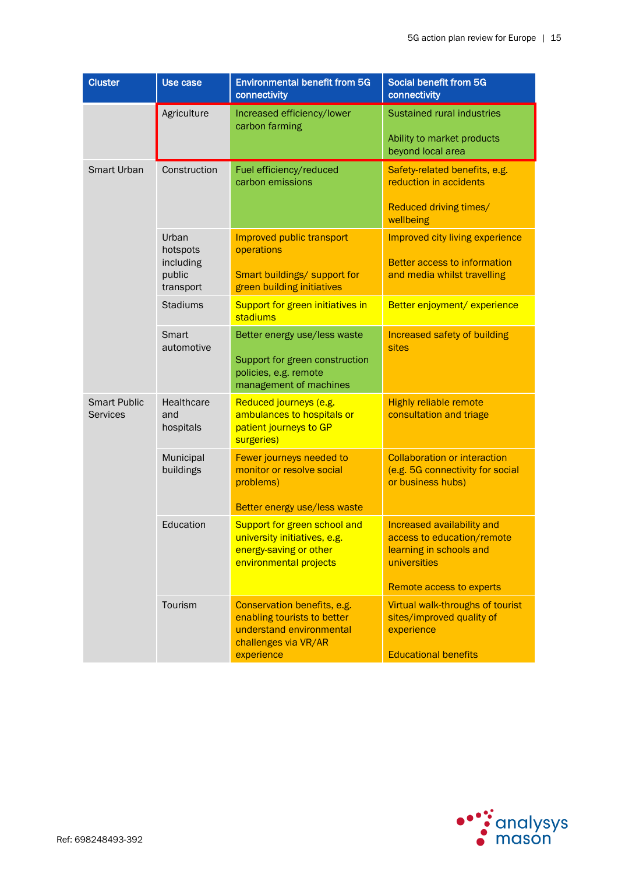| <b>Cluster</b>                         | Use case                                              | <b>Environmental benefit from 5G</b><br>connectivity                                                                         | Social benefit from 5G<br>connectivity                                                                                                 |
|----------------------------------------|-------------------------------------------------------|------------------------------------------------------------------------------------------------------------------------------|----------------------------------------------------------------------------------------------------------------------------------------|
|                                        | Agriculture                                           | Increased efficiency/lower<br>carbon farming                                                                                 | <b>Sustained rural industries</b><br>Ability to market products<br>beyond local area                                                   |
| Smart Urban                            | Construction                                          | Fuel efficiency/reduced<br>carbon emissions                                                                                  | Safety-related benefits, e.g.<br>reduction in accidents<br>Reduced driving times/<br>wellbeing                                         |
|                                        | Urban<br>hotspots<br>including<br>public<br>transport | Improved public transport<br>operations<br>Smart buildings/ support for<br>green building initiatives                        | Improved city living experience<br><b>Better access to information</b><br>and media whilst travelling                                  |
|                                        | <b>Stadiums</b>                                       | Support for green initiatives in<br>stadiums                                                                                 | Better enjoyment/experience                                                                                                            |
|                                        | Smart<br>automotive                                   | Better energy use/less waste<br>Support for green construction<br>policies, e.g. remote<br>management of machines            | <b>Increased safety of building</b><br>sites                                                                                           |
| <b>Smart Public</b><br><b>Services</b> | Healthcare<br>and<br>hospitals                        | Reduced journeys (e.g.<br>ambulances to hospitals or<br>patient journeys to GP<br>surgeries)                                 | <b>Highly reliable remote</b><br>consultation and triage                                                                               |
|                                        | Municipal<br>buildings                                | Fewer journeys needed to<br>monitor or resolve social<br>problems)<br>Better energy use/less waste                           | <b>Collaboration or interaction</b><br>(e.g. 5G connectivity for social<br>or business hubs)                                           |
|                                        | Education                                             | Support for green school and<br>university initiatives, e.g.<br>energy-saving or other<br>environmental projects             | Increased availability and<br>access to education/remote<br>learning in schools and<br>universities                                    |
|                                        | Tourism                                               | Conservation benefits, e.g.<br>enabling tourists to better<br>understand environmental<br>challenges via VR/AR<br>experience | Remote access to experts<br>Virtual walk-throughs of tourist<br>sites/improved quality of<br>experience<br><b>Educational benefits</b> |

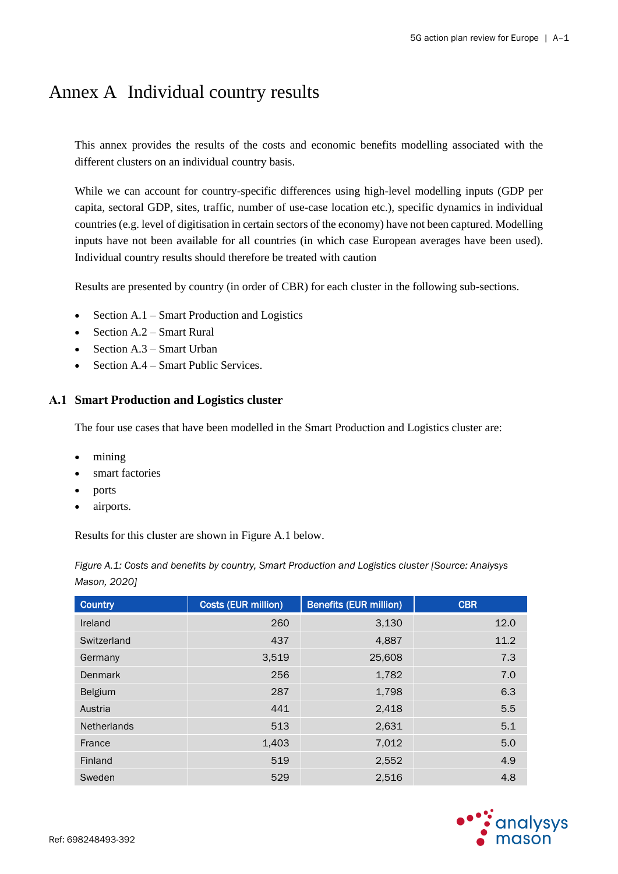### Annex A Individual country results

This annex provides the results of the costs and economic benefits modelling associated with the different clusters on an individual country basis.

While we can account for country-specific differences using high-level modelling inputs (GDP per capita, sectoral GDP, sites, traffic, number of use-case location etc.), specific dynamics in individual countries (e.g. level of digitisation in certain sectors of the economy) have not been captured. Modelling inputs have not been available for all countries (in which case European averages have been used). Individual country results should therefore be treated with caution

Results are presented by country (in order of CBR) for each cluster in the following sub-sections.

- Section  $A.1$  Smart Production and Logistics
- Sectio[n A.2](#page-17-0) Smart Rural
- Section  $A.3$  Smart Urban
- Sectio[n A.4](#page-20-0) Smart Public Services.

### <span id="page-16-0"></span>**A.1 Smart Production and Logistics cluster**

The four use cases that have been modelled in the Smart Production and Logistics cluster are:

- mining
- smart factories
- ports
- airports.

Results for this cluster are shown in [Figure A.1](#page-16-1) below.

<span id="page-16-1"></span>*Figure A.1: Costs and benefits by country, Smart Production and Logistics cluster [Source: Analysys Mason, 2020]*

| <b>Country</b>     | Costs (EUR million) | <b>Benefits (EUR million)</b> | <b>CBR</b> |
|--------------------|---------------------|-------------------------------|------------|
| Ireland            | 260                 | 3,130                         | 12.0       |
| Switzerland        | 437                 | 4,887                         | 11.2       |
| Germany            | 3,519               | 25,608                        | 7.3        |
| Denmark            | 256                 | 1,782                         | 7.0        |
| <b>Belgium</b>     | 287                 | 1,798                         | 6.3        |
| Austria            | 441                 | 2,418                         | 5.5        |
| <b>Netherlands</b> | 513                 | 2,631                         | 5.1        |
| France             | 1,403               | 7,012                         | 5.0        |
| Finland            | 519                 | 2,552                         | 4.9        |
| Sweden             | 529                 | 2,516                         | 4.8        |

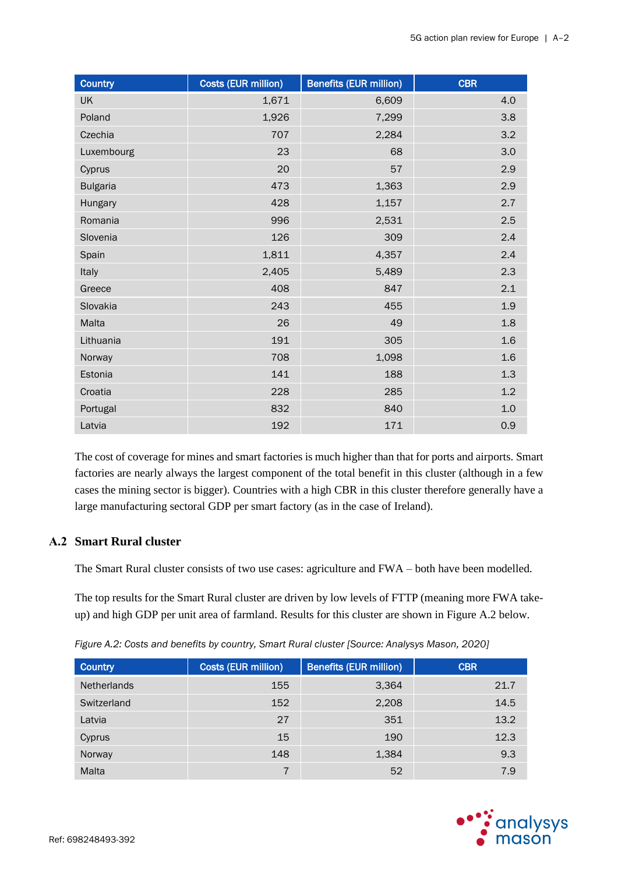| <b>Country</b>  | Costs (EUR million) | <b>Benefits (EUR million)</b> | <b>CBR</b> |
|-----------------|---------------------|-------------------------------|------------|
| <b>UK</b>       | 1,671               | 6,609                         | 4.0        |
| Poland          | 1,926               | 7,299                         | 3.8        |
| Czechia         | 707                 | 2,284                         | 3.2        |
| Luxembourg      | 23                  | 68                            | 3.0        |
| Cyprus          | 20                  | 57                            | 2.9        |
| <b>Bulgaria</b> | 473                 | 1,363                         | 2.9        |
| Hungary         | 428                 | 1,157                         | 2.7        |
| Romania         | 996                 | 2,531                         | 2.5        |
| Slovenia        | 126                 | 309                           | 2.4        |
| Spain           | 1,811               | 4,357                         | 2.4        |
| Italy           | 2,405               | 5,489                         | 2.3        |
| Greece          | 408                 | 847                           | 2.1        |
| Slovakia        | 243                 | 455                           | 1.9        |
| Malta           | 26                  | 49                            | 1.8        |
| Lithuania       | 191                 | 305                           | 1.6        |
| Norway          | 708                 | 1,098                         | 1.6        |
| Estonia         | 141                 | 188                           | 1.3        |
| Croatia         | 228                 | 285                           | 1.2        |
| Portugal        | 832                 | 840                           | 1.0        |
| Latvia          | 192                 | 171                           | 0.9        |

The cost of coverage for mines and smart factories is much higher than that for ports and airports. Smart factories are nearly always the largest component of the total benefit in this cluster (although in a few cases the mining sector is bigger). Countries with a high CBR in this cluster therefore generally have a large manufacturing sectoral GDP per smart factory (as in the case of Ireland).

### <span id="page-17-0"></span>**A.2 Smart Rural cluster**

The Smart Rural cluster consists of two use cases: agriculture and FWA – both have been modelled.

The top results for the Smart Rural cluster are driven by low levels of FTTP (meaning more FWA takeup) and high GDP per unit area of farmland. Results for this cluster are shown in [Figure A.2](#page-17-1) below.

<span id="page-17-1"></span>*Figure A.2: Costs and benefits by country, Smart Rural cluster [Source: Analysys Mason, 2020]*

| <b>Country</b>     | <b>Costs (EUR million)</b> | <b>Benefits (EUR million)</b> | <b>CBR</b> |
|--------------------|----------------------------|-------------------------------|------------|
| <b>Netherlands</b> | 155                        | 3,364                         | 21.7       |
| Switzerland        | 152                        | 2,208                         | 14.5       |
| Latvia             | 27                         | 351                           | 13.2       |
| Cyprus             | 15                         | 190                           | 12.3       |
| Norway             | 148                        | 1,384                         | 9.3        |
| Malta              |                            | 52                            | 7.9        |

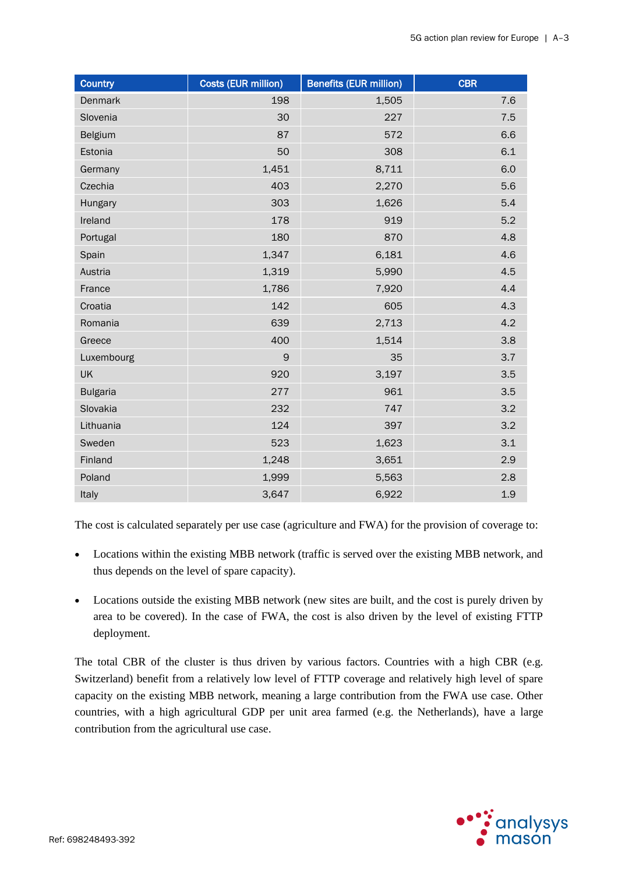| <b>Country</b>  | Costs (EUR million) | <b>Benefits (EUR million)</b> | <b>CBR</b> |
|-----------------|---------------------|-------------------------------|------------|
| Denmark         | 198                 | 1,505                         | 7.6        |
| Slovenia        | 30                  | 227                           | 7.5        |
| Belgium         | 87                  | 572                           | 6.6        |
| Estonia         | 50                  | 308                           | 6.1        |
| Germany         | 1,451               | 8,711                         | 6.0        |
| Czechia         | 403                 | 2,270                         | 5.6        |
| Hungary         | 303                 | 1,626                         | 5.4        |
| Ireland         | 178                 | 919                           | 5.2        |
| Portugal        | 180                 | 870                           | 4.8        |
| Spain           | 1,347               | 6,181                         | 4.6        |
| Austria         | 1,319               | 5,990                         | 4.5        |
| France          | 1,786               | 7,920                         | 4.4        |
| Croatia         | 142                 | 605                           | 4.3        |
| Romania         | 639                 | 2,713                         | 4.2        |
| Greece          | 400                 | 1,514                         | 3.8        |
| Luxembourg      | 9                   | 35                            | 3.7        |
| <b>UK</b>       | 920                 | 3,197                         | 3.5        |
| <b>Bulgaria</b> | 277                 | 961                           | 3.5        |
| Slovakia        | 232                 | 747                           | 3.2        |
| Lithuania       | 124                 | 397                           | 3.2        |
| Sweden          | 523                 | 1,623                         | 3.1        |
| Finland         | 1,248               | 3,651                         | 2.9        |
| Poland          | 1,999               | 5,563                         | 2.8        |
| Italy           | 3,647               | 6,922                         | 1.9        |

The cost is calculated separately per use case (agriculture and FWA) for the provision of coverage to:

- Locations within the existing MBB network (traffic is served over the existing MBB network, and thus depends on the level of spare capacity).
- Locations outside the existing MBB network (new sites are built, and the cost is purely driven by area to be covered). In the case of FWA, the cost is also driven by the level of existing FTTP deployment.

The total CBR of the cluster is thus driven by various factors. Countries with a high CBR (e.g. Switzerland) benefit from a relatively low level of FTTP coverage and relatively high level of spare capacity on the existing MBB network, meaning a large contribution from the FWA use case. Other countries, with a high agricultural GDP per unit area farmed (e.g. the Netherlands), have a large contribution from the agricultural use case.

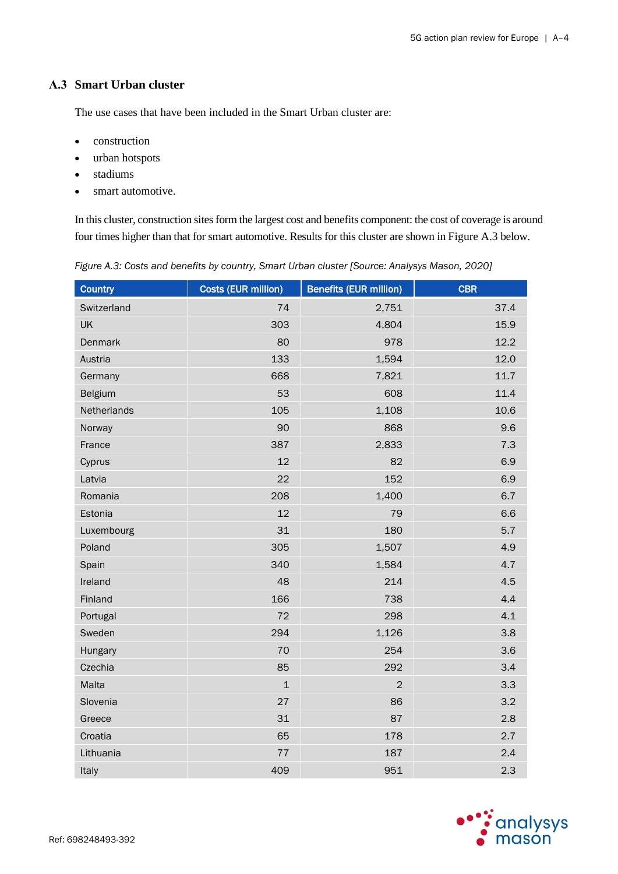### <span id="page-19-0"></span>**A.3 Smart Urban cluster**

The use cases that have been included in the Smart Urban cluster are:

- construction
- urban hotspots
- stadiums
- smart automotive.

In this cluster, construction sites form the largest cost and benefits component: the cost of coverage is around four times higher than that for smart automotive. Results for this cluster are shown in [Figure A.3](#page-19-1) below.

<span id="page-19-1"></span>

| Figure A.3: Costs and benefits by country, Smart Urban cluster [Source: Analysys Mason, 2020] |  |  |  |
|-----------------------------------------------------------------------------------------------|--|--|--|
|-----------------------------------------------------------------------------------------------|--|--|--|

| <b>Country</b> | <b>Costs (EUR million)</b> | <b>Benefits (EUR million)</b> | <b>CBR</b> |
|----------------|----------------------------|-------------------------------|------------|
| Switzerland    | 74                         | 2,751                         | 37.4       |
| <b>UK</b>      | 303                        | 4,804                         | 15.9       |
| Denmark        | 80                         | 978                           | 12.2       |
| Austria        | 133                        | 1,594                         | 12.0       |
| Germany        | 668                        | 7,821                         | 11.7       |
| Belgium        | 53                         | 608                           | 11.4       |
| Netherlands    | 105                        | 1,108                         | 10.6       |
| Norway         | 90                         | 868                           | 9.6        |
| France         | 387                        | 2,833                         | 7.3        |
| Cyprus         | 12                         | 82                            | 6.9        |
| Latvia         | 22                         | 152                           | 6.9        |
| Romania        | 208                        | 1,400                         | 6.7        |
| Estonia        | 12                         | 79                            | 6.6        |
| Luxembourg     | 31                         | 180                           | 5.7        |
| Poland         | 305                        | 1,507                         | 4.9        |
| Spain          | 340                        | 1,584                         | 4.7        |
| Ireland        | 48                         | 214                           | 4.5        |
| Finland        | 166                        | 738                           | 4.4        |
| Portugal       | 72                         | 298                           | 4.1        |
| Sweden         | 294                        | 1,126                         | 3.8        |
| Hungary        | 70                         | 254                           | 3.6        |
| Czechia        | 85                         | 292                           | 3.4        |
| Malta          | $\mathbf{1}$               | 2                             | 3.3        |
| Slovenia       | 27                         | 86                            | 3.2        |
| Greece         | 31                         | 87                            | 2.8        |
| Croatia        | 65                         | 178                           | 2.7        |
| Lithuania      | $77\,$                     | 187                           | 2.4        |
| Italy          | 409                        | 951                           | 2.3        |

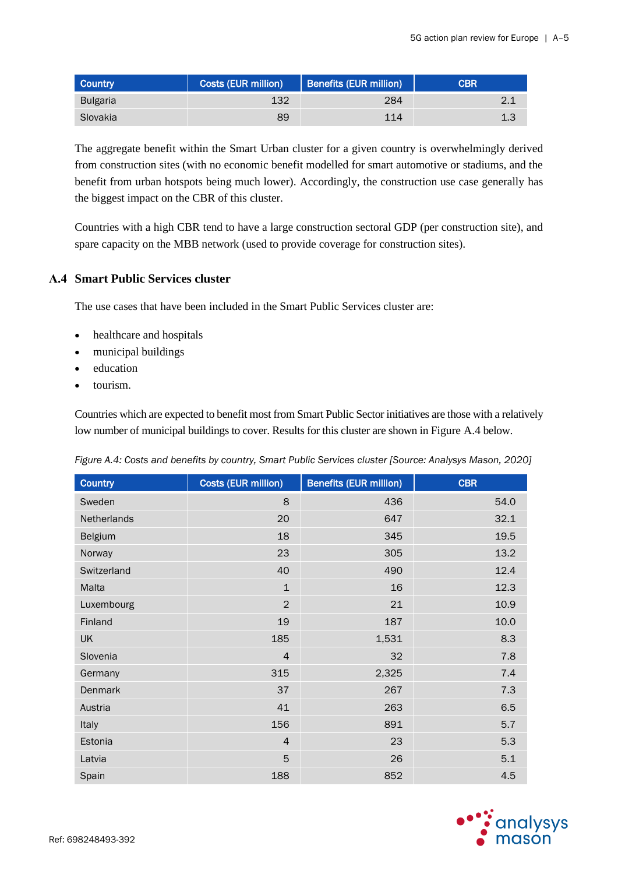| <b>Country</b>  | <b>Costs (EUR million)</b> | Benefits (EUR million) | <b>CBR</b> |
|-----------------|----------------------------|------------------------|------------|
| <b>Bulgaria</b> | 132                        | 284                    |            |
| Slovakia        | 89                         | 114                    | 1.3        |

The aggregate benefit within the Smart Urban cluster for a given country is overwhelmingly derived from construction sites (with no economic benefit modelled for smart automotive or stadiums, and the benefit from urban hotspots being much lower). Accordingly, the construction use case generally has the biggest impact on the CBR of this cluster.

Countries with a high CBR tend to have a large construction sectoral GDP (per construction site), and spare capacity on the MBB network (used to provide coverage for construction sites).

### <span id="page-20-0"></span>**A.4 Smart Public Services cluster**

The use cases that have been included in the Smart Public Services cluster are:

- healthcare and hospitals
- municipal buildings
- education
- tourism.

Countries which are expected to benefit most from Smart Public Sector initiatives are those with a relatively low number of municipal buildings to cover. Results for this cluster are shown in [Figure A.4](#page-20-1) below.

| <b>Country</b> | Costs (EUR million) | <b>Benefits (EUR million)</b> | <b>CBR</b> |
|----------------|---------------------|-------------------------------|------------|
| Sweden         | 8                   | 436                           | 54.0       |
| Netherlands    | 20                  | 647                           | 32.1       |
| Belgium        | 18                  | 345                           | 19.5       |
| Norway         | 23                  | 305                           | 13.2       |
| Switzerland    | 40                  | 490                           | 12.4       |
| Malta          | $\mathbf{1}$        | 16                            | 12.3       |
| Luxembourg     | $\overline{2}$      | 21                            | 10.9       |
| Finland        | 19                  | 187                           | 10.0       |
| <b>UK</b>      | 185                 | 1,531                         | 8.3        |
| Slovenia       | $\overline{4}$      | 32                            | 7.8        |
| Germany        | 315                 | 2,325                         | 7.4        |
| Denmark        | 37                  | 267                           | 7.3        |
| Austria        | 41                  | 263                           | 6.5        |
| Italy          | 156                 | 891                           | 5.7        |
| Estonia        | $\overline{4}$      | 23                            | 5.3        |
| Latvia         | 5                   | 26                            | 5.1        |
| Spain          | 188                 | 852                           | 4.5        |

<span id="page-20-1"></span>*Figure A.4: Costs and benefits by country, Smart Public Services cluster [Source: Analysys Mason, 2020]*

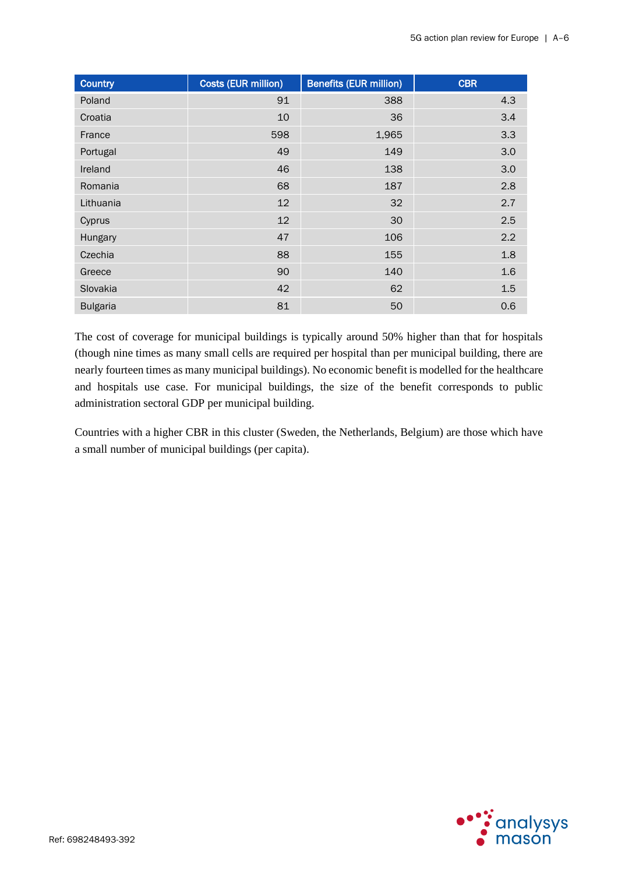| <b>Country</b>  | <b>Costs (EUR million)</b> | <b>Benefits (EUR million)</b> | <b>CBR</b> |
|-----------------|----------------------------|-------------------------------|------------|
| Poland          | 91                         | 388                           | 4.3        |
| Croatia         | 10                         | 36                            | 3.4        |
| France          | 598                        | 1,965                         | 3.3        |
| Portugal        | 49                         | 149                           | 3.0        |
| Ireland         | 46                         | 138                           | 3.0        |
| Romania         | 68                         | 187                           | 2.8        |
| Lithuania       | 12                         | 32                            | 2.7        |
| Cyprus          | 12                         | 30                            | 2.5        |
| Hungary         | 47                         | 106                           | 2.2        |
| Czechia         | 88                         | 155                           | 1.8        |
| Greece          | 90                         | 140                           | 1.6        |
| Slovakia        | 42                         | 62                            | 1.5        |
| <b>Bulgaria</b> | 81                         | 50                            | 0.6        |

The cost of coverage for municipal buildings is typically around 50% higher than that for hospitals (though nine times as many small cells are required per hospital than per municipal building, there are nearly fourteen times as many municipal buildings). No economic benefit is modelled for the healthcare and hospitals use case. For municipal buildings, the size of the benefit corresponds to public administration sectoral GDP per municipal building.

Countries with a higher CBR in this cluster (Sweden, the Netherlands, Belgium) are those which have a small number of municipal buildings (per capita).

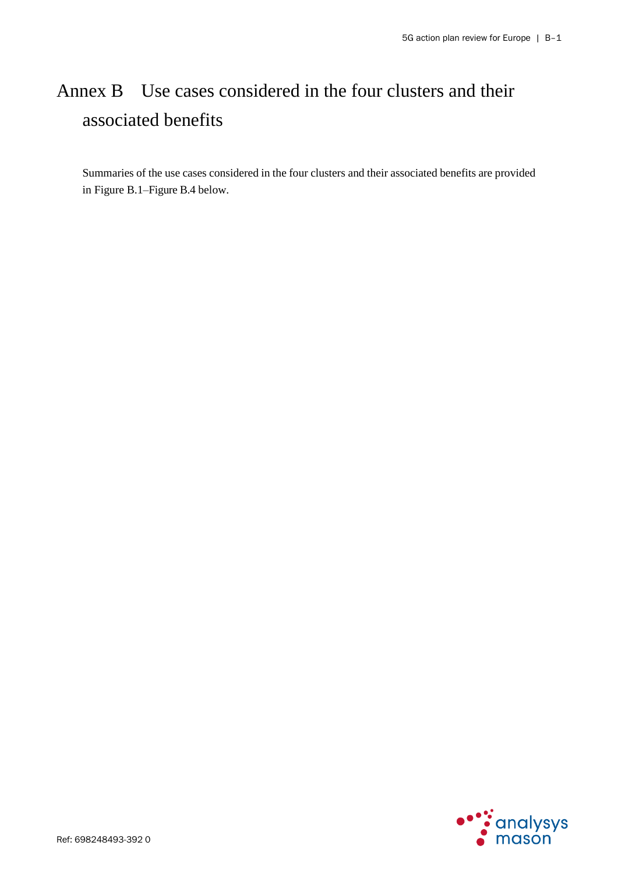# Annex B Use cases considered in the four clusters and their associated benefits

Summaries of the use cases considered in the four clusters and their associated benefits are provided i[n Figure B.1](#page-23-0)[–Figure B.4](#page-29-0) below.

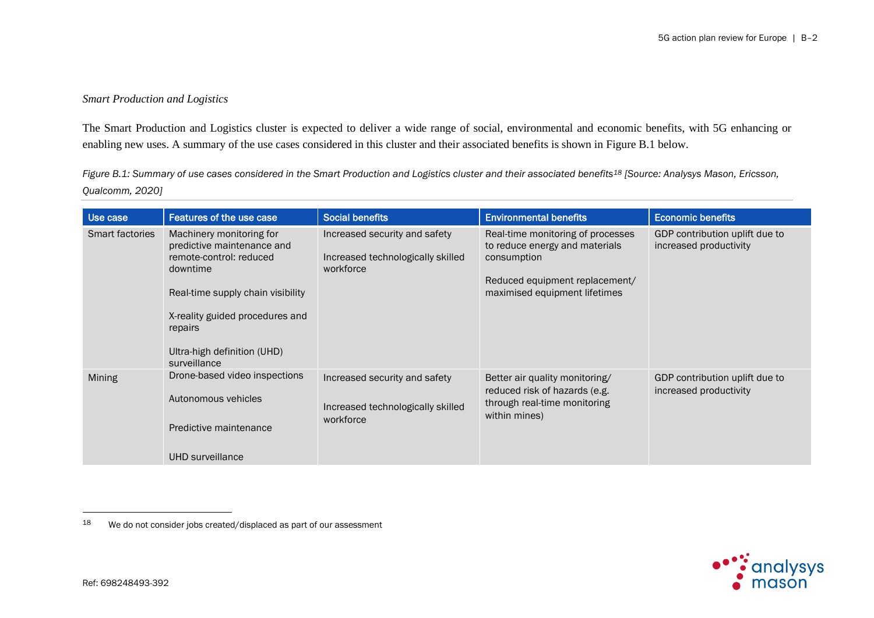### *Smart Production and Logistics*

The Smart Production and Logistics cluster is expected to deliver a wide range of social, environmental and economic benefits, with 5G enhancing or enabling new uses. A summary of the use cases considered in this cluster and their associated benefits is shown in [Figure B.1](#page-23-1) below.

<span id="page-23-1"></span>*Figure B.1: Summary of use cases considered in the Smart Production and Logistics cluster and their associated benefits<sup>18</sup> [Source: Analysys Mason, Ericsson, Qualcomm, 2020]*

| Use case               | Features of the use case                                                                                                                                                                                                        | <b>Social benefits</b>                                                          | <b>Environmental benefits</b>                                                                                                                         | <b>Economic benefits</b>                                 |
|------------------------|---------------------------------------------------------------------------------------------------------------------------------------------------------------------------------------------------------------------------------|---------------------------------------------------------------------------------|-------------------------------------------------------------------------------------------------------------------------------------------------------|----------------------------------------------------------|
| <b>Smart factories</b> | Machinery monitoring for<br>predictive maintenance and<br>remote-control: reduced<br>downtime<br>Real-time supply chain visibility<br>X-reality guided procedures and<br>repairs<br>Ultra-high definition (UHD)<br>surveillance | Increased security and safety<br>Increased technologically skilled<br>workforce | Real-time monitoring of processes<br>to reduce energy and materials<br>consumption<br>Reduced equipment replacement/<br>maximised equipment lifetimes | GDP contribution uplift due to<br>increased productivity |
| Mining                 | Drone-based video inspections<br>Autonomous vehicles<br>Predictive maintenance<br>UHD surveillance                                                                                                                              | Increased security and safety<br>Increased technologically skilled<br>workforce | Better air quality monitoring/<br>reduced risk of hazards (e.g.<br>through real-time monitoring<br>within mines)                                      | GDP contribution uplift due to<br>increased productivity |



<span id="page-23-0"></span><sup>18</sup> We do not consider jobs created/displaced as part of our assessment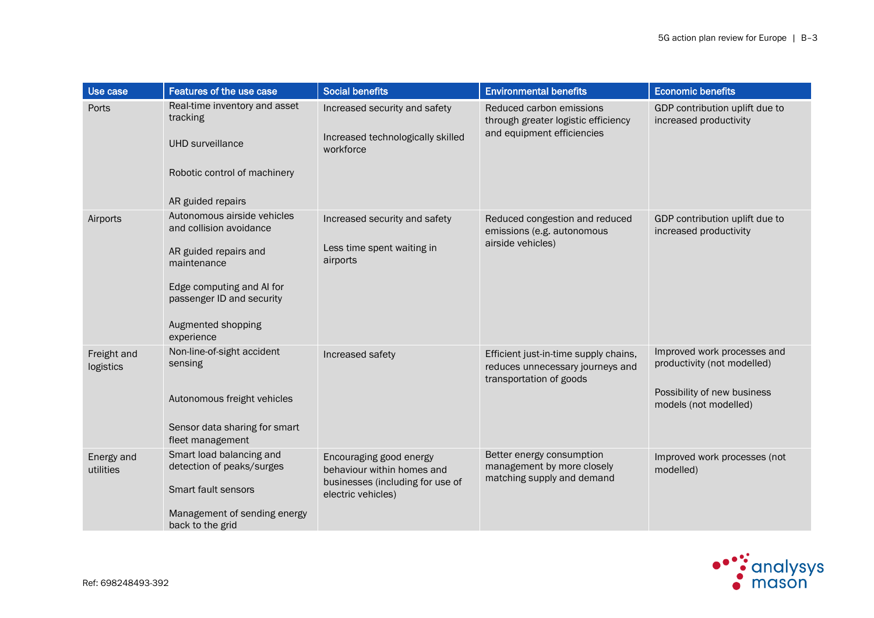| Use case                 | <b>Features of the use case</b>                                                                                                                                                              | <b>Social benefits</b>                                                                                          | <b>Environmental benefits</b>                                                                        | <b>Economic benefits</b>                                                                                           |
|--------------------------|----------------------------------------------------------------------------------------------------------------------------------------------------------------------------------------------|-----------------------------------------------------------------------------------------------------------------|------------------------------------------------------------------------------------------------------|--------------------------------------------------------------------------------------------------------------------|
| Ports                    | Real-time inventory and asset<br>tracking<br><b>UHD</b> surveillance<br>Robotic control of machinery<br>AR guided repairs                                                                    | Increased security and safety<br>Increased technologically skilled<br>workforce                                 | Reduced carbon emissions<br>through greater logistic efficiency<br>and equipment efficiencies        | GDP contribution uplift due to<br>increased productivity                                                           |
| Airports                 | Autonomous airside vehicles<br>and collision avoidance<br>AR guided repairs and<br>maintenance<br>Edge computing and AI for<br>passenger ID and security<br>Augmented shopping<br>experience | Increased security and safety<br>Less time spent waiting in<br>airports                                         | Reduced congestion and reduced<br>emissions (e.g. autonomous<br>airside vehicles)                    | GDP contribution uplift due to<br>increased productivity                                                           |
| Freight and<br>logistics | Non-line-of-sight accident<br>sensing<br>Autonomous freight vehicles<br>Sensor data sharing for smart<br>fleet management                                                                    | Increased safety                                                                                                | Efficient just-in-time supply chains,<br>reduces unnecessary journeys and<br>transportation of goods | Improved work processes and<br>productivity (not modelled)<br>Possibility of new business<br>models (not modelled) |
| Energy and<br>utilities  | Smart load balancing and<br>detection of peaks/surges<br>Smart fault sensors<br>Management of sending energy<br>back to the grid                                                             | Encouraging good energy<br>behaviour within homes and<br>businesses (including for use of<br>electric vehicles) | Better energy consumption<br>management by more closely<br>matching supply and demand                | Improved work processes (not<br>modelled)                                                                          |

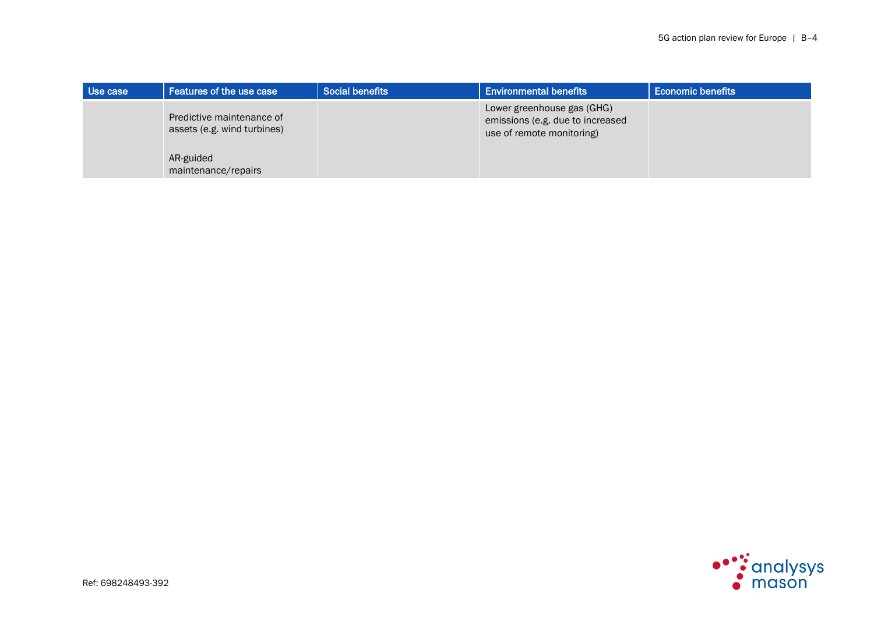| Use case | Features of the use case                                 | <b>Social benefits</b> | <b>Environmental benefits</b>                                                               | <b>Economic benefits</b> |
|----------|----------------------------------------------------------|------------------------|---------------------------------------------------------------------------------------------|--------------------------|
|          | Predictive maintenance of<br>assets (e.g. wind turbines) |                        | Lower greenhouse gas (GHG)<br>emissions (e.g. due to increased<br>use of remote monitoring) |                          |
|          | AR-guided<br>maintenance/repairs                         |                        |                                                                                             |                          |

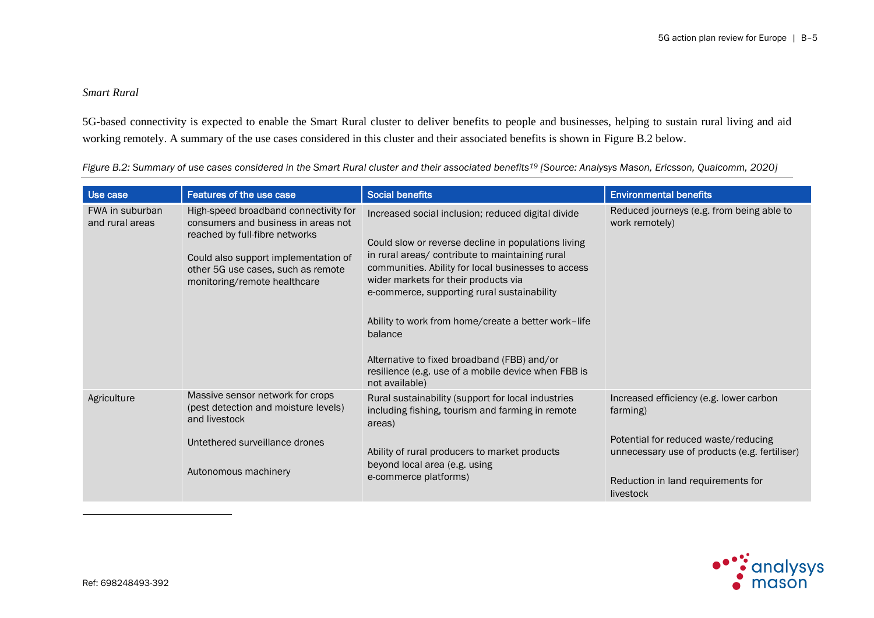### *Smart Rural*

5G-based connectivity is expected to enable the Smart Rural cluster to deliver benefits to people and businesses, helping to sustain rural living and aid working remotely. A summary of the use cases considered in this cluster and their associated benefits is shown in [Figure B.2](#page-26-0) below.

| Use case                           | Features of the use case                                                                                                                                                                                                     | <b>Social benefits</b>                                                                                                                                                                                                                                                                                                                                                                                                                                                                               | <b>Environmental benefits</b>                                                                                                                                                                   |
|------------------------------------|------------------------------------------------------------------------------------------------------------------------------------------------------------------------------------------------------------------------------|------------------------------------------------------------------------------------------------------------------------------------------------------------------------------------------------------------------------------------------------------------------------------------------------------------------------------------------------------------------------------------------------------------------------------------------------------------------------------------------------------|-------------------------------------------------------------------------------------------------------------------------------------------------------------------------------------------------|
| FWA in suburban<br>and rural areas | High-speed broadband connectivity for<br>consumers and business in areas not<br>reached by full-fibre networks<br>Could also support implementation of<br>other 5G use cases, such as remote<br>monitoring/remote healthcare | Increased social inclusion; reduced digital divide<br>Could slow or reverse decline in populations living<br>in rural areas/ contribute to maintaining rural<br>communities. Ability for local businesses to access<br>wider markets for their products via<br>e-commerce, supporting rural sustainability<br>Ability to work from home/create a better work-life<br>balance<br>Alternative to fixed broadband (FBB) and/or<br>resilience (e.g. use of a mobile device when FBB is<br>not available) | Reduced journeys (e.g. from being able to<br>work remotely)                                                                                                                                     |
| Agriculture                        | Massive sensor network for crops<br>(pest detection and moisture levels)<br>and livestock<br>Untethered surveillance drones<br>Autonomous machinery                                                                          | Rural sustainability (support for local industries<br>including fishing, tourism and farming in remote<br>areas)<br>Ability of rural producers to market products<br>beyond local area (e.g. using<br>e-commerce platforms)                                                                                                                                                                                                                                                                          | Increased efficiency (e.g. lower carbon<br>farming)<br>Potential for reduced waste/reducing<br>unnecessary use of products (e.g. fertiliser)<br>Reduction in land requirements for<br>livestock |

<span id="page-26-0"></span>*Figure B.2: Summary of use cases considered in the Smart Rural cluster and their associated benefits<sup>19</sup> [Source: Analysys Mason, Ericsson, Qualcomm, 2020]*

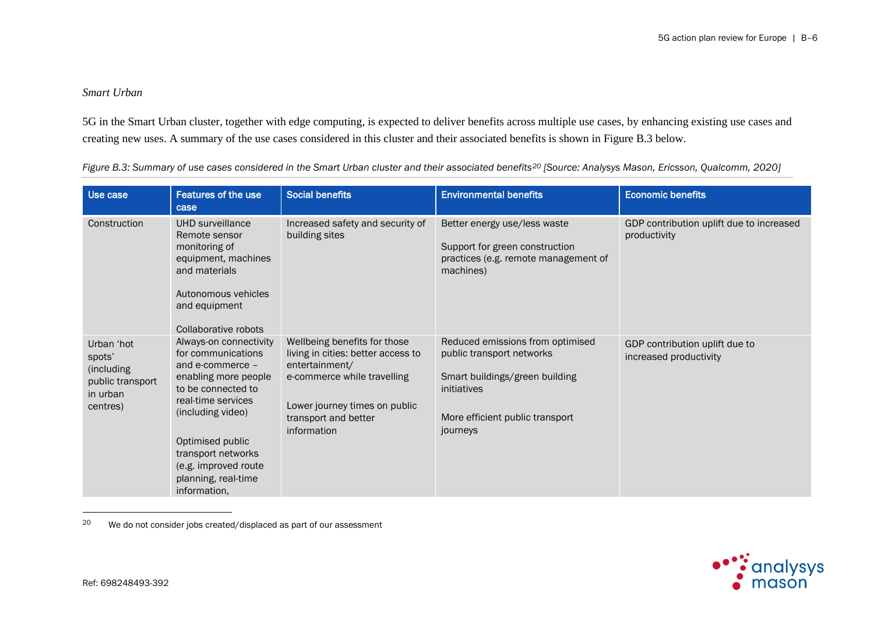### *Smart Urban*

5G in the Smart Urban cluster, together with edge computing, is expected to deliver benefits across multiple use cases, by enhancing existing use cases and creating new uses. A summary of the use cases considered in this cluster and their associated benefits is shown in [Figure B.3](#page-27-0) below.

| Use case                                                                       | Features of the use<br>case                                                                                                                                                                                                                                        | <b>Social benefits</b>                                                                                                                                                                      | <b>Environmental benefits</b>                                                                                                                                 | <b>Economic benefits</b>                                 |
|--------------------------------------------------------------------------------|--------------------------------------------------------------------------------------------------------------------------------------------------------------------------------------------------------------------------------------------------------------------|---------------------------------------------------------------------------------------------------------------------------------------------------------------------------------------------|---------------------------------------------------------------------------------------------------------------------------------------------------------------|----------------------------------------------------------|
| Construction                                                                   | UHD surveillance<br>Remote sensor<br>monitoring of<br>equipment, machines<br>and materials<br>Autonomous vehicles<br>and equipment<br>Collaborative robots                                                                                                         | Increased safety and security of<br>building sites                                                                                                                                          | Better energy use/less waste<br>Support for green construction<br>practices (e.g. remote management of<br>machines)                                           | GDP contribution uplift due to increased<br>productivity |
| Urban 'hot<br>spots'<br>(including<br>public transport<br>in urban<br>centres) | Always-on connectivity<br>for communications<br>and e-commerce -<br>enabling more people<br>to be connected to<br>real-time services<br>(including video)<br>Optimised public<br>transport networks<br>(e.g. improved route<br>planning, real-time<br>information, | Wellbeing benefits for those<br>living in cities: better access to<br>entertainment/<br>e-commerce while travelling<br>Lower journey times on public<br>transport and better<br>information | Reduced emissions from optimised<br>public transport networks<br>Smart buildings/green building<br>initiatives<br>More efficient public transport<br>journeys | GDP contribution uplift due to<br>increased productivity |

<span id="page-27-0"></span>*Figure B.3: Summary of use cases considered in the Smart Urban cluster and their associated benefits<sup>20</sup> <i>[Source: Analysys Mason, Ericsson, Qualcomm, 2020]* 

20 We do not consider jobs created/displaced as part of our assessment

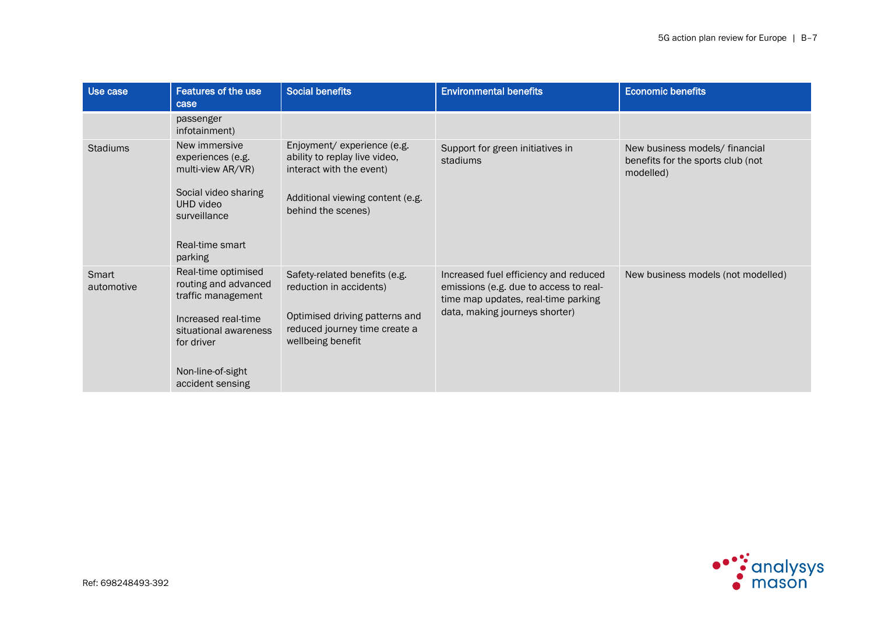| Use case            | Features of the use<br>case                                                                                                                                              | <b>Social benefits</b>                                                                                                                             | <b>Environmental benefits</b>                                                                                                                            | <b>Economic benefits</b>                                                         |
|---------------------|--------------------------------------------------------------------------------------------------------------------------------------------------------------------------|----------------------------------------------------------------------------------------------------------------------------------------------------|----------------------------------------------------------------------------------------------------------------------------------------------------------|----------------------------------------------------------------------------------|
|                     | passenger<br>infotainment)                                                                                                                                               |                                                                                                                                                    |                                                                                                                                                          |                                                                                  |
| <b>Stadiums</b>     | New immersive<br>experiences (e.g.<br>multi-view AR/VR)<br>Social video sharing<br>UHD video<br>surveillance<br>Real-time smart<br>parking                               | Enjoyment/ experience (e.g.<br>ability to replay live video,<br>interact with the event)<br>Additional viewing content (e.g.<br>behind the scenes) | Support for green initiatives in<br>stadiums                                                                                                             | New business models/ financial<br>benefits for the sports club (not<br>modelled) |
| Smart<br>automotive | Real-time optimised<br>routing and advanced<br>traffic management<br>Increased real-time<br>situational awareness<br>for driver<br>Non-line-of-sight<br>accident sensing | Safety-related benefits (e.g.<br>reduction in accidents)<br>Optimised driving patterns and<br>reduced journey time create a<br>wellbeing benefit   | Increased fuel efficiency and reduced<br>emissions (e.g. due to access to real-<br>time map updates, real-time parking<br>data, making journeys shorter) | New business models (not modelled)                                               |

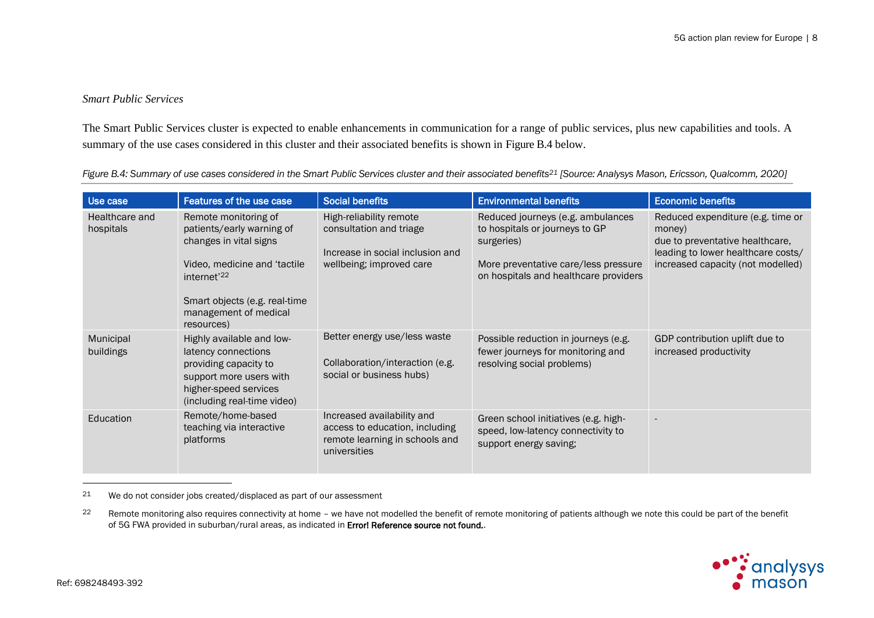### *Smart Public Services*

The Smart Public Services cluster is expected to enable enhancements in communication for a range of public services, plus new capabilities and tools. A summary of the use cases considered in this cluster and their associated benefits is shown in [Figure B.4](#page-29-1) below.

<span id="page-29-1"></span>Figure B.4: Summary of use cases considered in the Smart Public Services cluster and their associated benefits<sup>21</sup> [Source: Analysys Mason, Ericsson, Qualcomm, 2020]

| Use case                    | Features of the use case                                                                                                                                                                                       | <b>Social benefits</b>                                                                                             | <b>Environmental benefits</b>                                                                                                                                      | <b>Economic benefits</b>                                                                                                                                  |
|-----------------------------|----------------------------------------------------------------------------------------------------------------------------------------------------------------------------------------------------------------|--------------------------------------------------------------------------------------------------------------------|--------------------------------------------------------------------------------------------------------------------------------------------------------------------|-----------------------------------------------------------------------------------------------------------------------------------------------------------|
| Healthcare and<br>hospitals | Remote monitoring of<br>patients/early warning of<br>changes in vital signs<br>Video, medicine and 'tactile<br>internet <sup>'22</sup><br>Smart objects (e.g. real-time<br>management of medical<br>resources) | High-reliability remote<br>consultation and triage<br>Increase in social inclusion and<br>wellbeing; improved care | Reduced journeys (e.g. ambulances<br>to hospitals or journeys to GP<br>surgeries)<br>More preventative care/less pressure<br>on hospitals and healthcare providers | Reduced expenditure (e.g. time or<br>money)<br>due to preventative healthcare,<br>leading to lower healthcare costs/<br>increased capacity (not modelled) |
| Municipal<br>buildings      | Highly available and low-<br>latency connections<br>providing capacity to<br>support more users with<br>higher-speed services<br>(including real-time video)                                                   | Better energy use/less waste<br>Collaboration/interaction (e.g.<br>social or business hubs)                        | Possible reduction in journeys (e.g.<br>fewer journeys for monitoring and<br>resolving social problems)                                                            | GDP contribution uplift due to<br>increased productivity                                                                                                  |
| Education                   | Remote/home-based<br>teaching via interactive<br>platforms                                                                                                                                                     | Increased availability and<br>access to education, including<br>remote learning in schools and<br>universities     | Green school initiatives (e.g. high-<br>speed, low-latency connectivity to<br>support energy saving;                                                               | $\overline{\phantom{a}}$                                                                                                                                  |

<span id="page-29-0"></span> $21$  We do not consider jobs created/displaced as part of our assessment

<sup>22</sup> Remote monitoring also requires connectivity at home - we have not modelled the benefit of remote monitoring of patients although we note this could be part of the benefit of 5G FWA provided in suburban/rural areas, as indicated in **Error! Reference source not found.**.

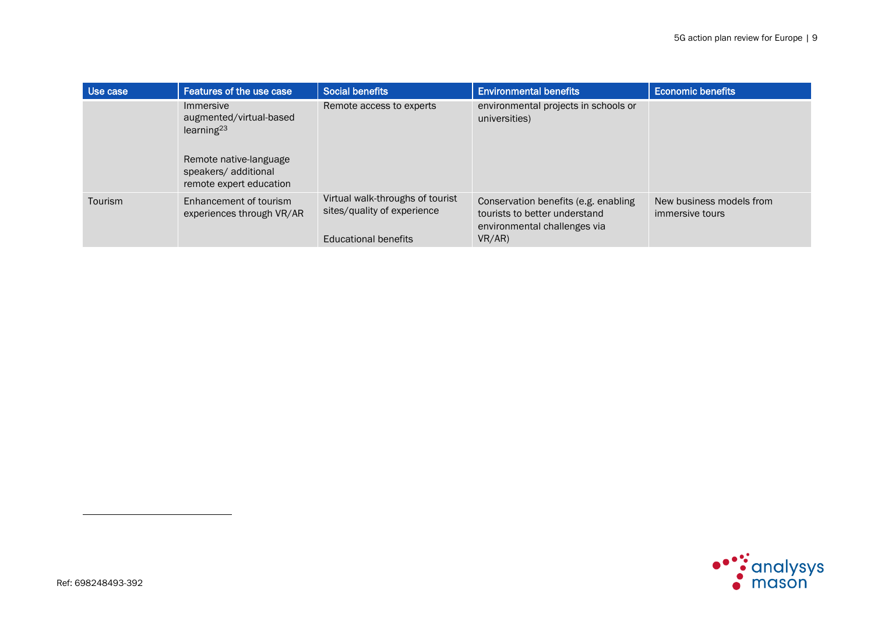| Use case | Features of the use case                                                                                                                    | <b>Social benefits</b>                                                                  | <b>Environmental benefits</b>                                                                                   | <b>Economic benefits</b>                    |
|----------|---------------------------------------------------------------------------------------------------------------------------------------------|-----------------------------------------------------------------------------------------|-----------------------------------------------------------------------------------------------------------------|---------------------------------------------|
|          | Immersive<br>augmented/virtual-based<br>learning <sup>23</sup><br>Remote native-language<br>speakers/ additional<br>remote expert education | Remote access to experts                                                                | environmental projects in schools or<br>universities)                                                           |                                             |
| Tourism  | Enhancement of tourism<br>experiences through VR/AR                                                                                         | Virtual walk-throughs of tourist<br>sites/quality of experience<br>Educational benefits | Conservation benefits (e.g. enabling<br>tourists to better understand<br>environmental challenges via<br>VR/AR) | New business models from<br>immersive tours |